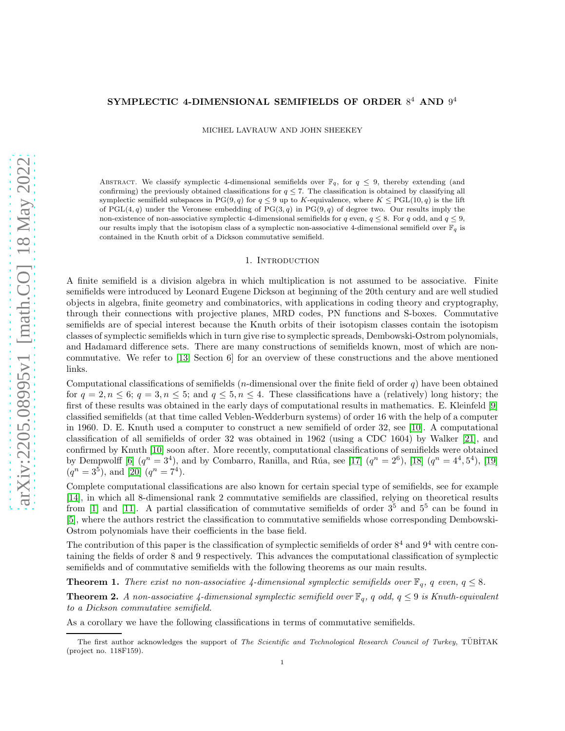# SYMPLECTIC 4-DIMENSIONAL SEMIFIELDS OF ORDER  $8^4$  AND  $9^4$

MICHEL LAVRAUW AND JOHN SHEEKEY

ABSTRACT. We classify symplectic 4-dimensional semifields over  $\mathbb{F}_q$ , for  $q \leq 9$ , thereby extending (and confirming) the previously obtained classifications for  $q \leq 7$ . The classification is obtained by classifying all symplectic semifield subspaces in PG(9, q) for  $q \le 9$  up to K-equivalence, where  $K \le \text{PGL}(10, q)$  is the lift of PGL $(4, q)$  under the Veronese embedding of PG $(3, q)$  in PG $(9, q)$  of degree two. Our results imply the non-existence of non-associative symplectic 4-dimensional semifields for q even,  $q \leq 8$ . For q odd, and  $q \leq 9$ , our results imply that the isotopism class of a symplectic non-associative 4-dimensional semifield over  $\mathbb{F}_q$  is contained in the Knuth orbit of a Dickson commutative semifield.

### 1. INTRODUCTION

A finite semifield is a division algebra in which multiplication is not assumed to be associative. Finite semifields were introduced by Leonard Eugene Dickson at beginning of the 20th century and are well studied objects in algebra, finite geometry and combinatorics, with applications in coding theory and cryptography, through their connections with projective planes, MRD codes, PN functions and S-boxes. Commutative semifields are of special interest because the Knuth orbits of their isotopism classes contain the isotopism classes of symplectic semifields which in turn give rise to symplectic spreads, Dembowski-Ostrom polynomials, and Hadamard difference sets. There are many constructions of semifields known, most of which are noncommutative. We refer to [\[13,](#page-11-0) Section 6] for an overview of these constructions and the above mentioned links.

Computational classifications of semifields (*n*-dimensional over the finite field of order q) have been obtained for  $q = 2, n \leq 6$ ;  $q = 3, n \leq 5$ ; and  $q \leq 5, n \leq 4$ . These classifications have a (relatively) long history; the first of these results was obtained in the early days of computational results in mathematics. E. Kleinfeld [\[9\]](#page-11-1) classified semifields (at that time called Veblen-Wedderburn systems) of order 16 with the help of a computer in 1960. D. E. Knuth used a computer to construct a new semifield of order 32, see [\[10\]](#page-11-2). A computational classification of all semifields of order 32 was obtained in 1962 (using a CDC 1604) by Walker [\[21\]](#page-11-3), and confirmed by Knuth [\[10\]](#page-11-2) soon after. More recently, computational classifications of semifields were obtained by Dempwolff [\[6\]](#page-10-0)  $(q^n = 3^4)$ , and by Combarro, Ranilla, and Rúa, see [\[17\]](#page-11-4)  $(q^n = 2^6)$ , [\[18\]](#page-11-5)  $(q^n = 4^4, 5^4)$ , [\[19\]](#page-11-6)  $(q^{n} = 3^{5})$ , and [\[20\]](#page-11-7)  $(q^{n} = 7^{4})$ .

Complete computational classifications are also known for certain special type of semifields, see for example [\[14\]](#page-11-8), in which all 8-dimensional rank 2 commutative semifields are classified, relying on theoretical results from [\[1\]](#page-10-1) and [\[11\]](#page-11-9). A partial classification of commutative semifields of order  $3^5$  and  $5^5$  can be found in [\[5\]](#page-10-2), where the authors restrict the classification to commutative semifields whose corresponding Dembowski-Ostrom polynomials have their coefficients in the base field.

The contribution of this paper is the classification of symplectic semifields of order  $8^4$  and  $9^4$  with centre containing the fields of order 8 and 9 respectively. This advances the computational classification of symplectic semifields and of commutative semifields with the following theorems as our main results.

**Theorem 1.** There exist no non-associative 4-dimensional symplectic semifields over  $\mathbb{F}_q$ , q even,  $q \leq 8$ .

**Theorem 2.** A non-associative 4-dimensional symplectic semifield over  $\mathbb{F}_q$ , q odd,  $q \leq 9$  is Knuth-equivalent to a Dickson commutative semifield.

As a corollary we have the following classifications in terms of commutative semifields.

The first author acknowledges the support of The Scientific and Technological Research Council of Turkey, TÜBİTAK (project no. 118F159).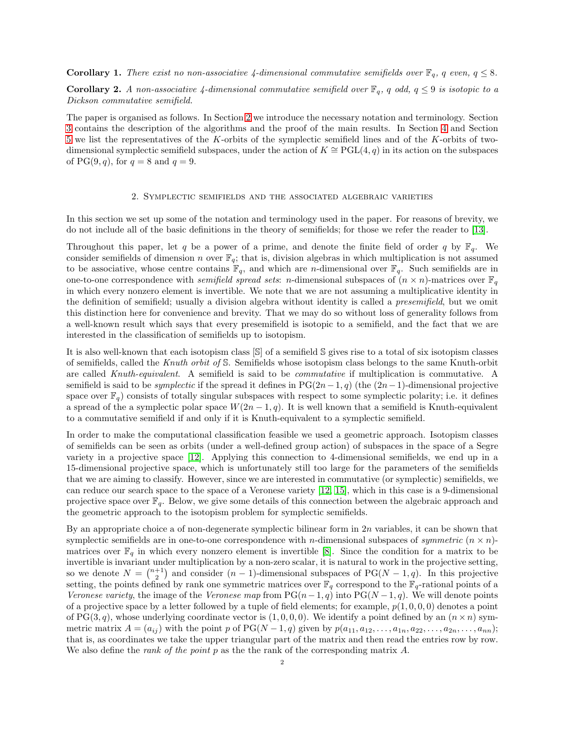**Corollary 1.** There exist no non-associative 4-dimensional commutative semifields over  $\mathbb{F}_q$ , q even,  $q \leq 8$ .

**Corollary 2.** A non-associative 4-dimensional commutative semifield over  $\mathbb{F}_q$ , q odd,  $q \leq 9$  is isotopic to a Dickson commutative semifield.

The paper is organised as follows. In Section [2](#page-1-0) we introduce the necessary notation and terminology. Section [3](#page-2-0) contains the description of the algorithms and the proof of the main results. In Section [4](#page-4-0) and Section [5](#page-5-0) we list the representatives of the K-orbits of the symplectic semifield lines and of the K-orbits of twodimensional symplectic semifield subspaces, under the action of  $K \cong \text{PGL}(4, q)$  in its action on the subspaces of PG(9, q), for  $q = 8$  and  $q = 9$ .

## 2. Symplectic semifields and the associated algebraic varieties

<span id="page-1-0"></span>In this section we set up some of the notation and terminology used in the paper. For reasons of brevity, we do not include all of the basic definitions in the theory of semifields; for those we refer the reader to [\[13\]](#page-11-0).

Throughout this paper, let q be a power of a prime, and denote the finite field of order q by  $\mathbb{F}_q$ . We consider semifields of dimension n over  $\mathbb{F}_q$ ; that is, division algebras in which multiplication is not assumed to be associative, whose centre contains  $\mathbb{F}_q$ , and which are *n*-dimensional over  $\mathbb{F}_q$ . Such semifields are in one-to-one correspondence with *semifield spread sets:* n-dimensional subspaces of  $(n \times n)$ -matrices over  $\mathbb{F}_q$ in which every nonzero element is invertible. We note that we are not assuming a multiplicative identity in the definition of semifield; usually a division algebra without identity is called a presemifield, but we omit this distinction here for convenience and brevity. That we may do so without loss of generality follows from a well-known result which says that every presemifield is isotopic to a semifield, and the fact that we are interested in the classification of semifields up to isotopism.

It is also well-known that each isotopism class [S] of a semifield S gives rise to a total of six isotopism classes of semifields, called the Knuth orbit of S. Semifields whose isotopism class belongs to the same Knuth-orbit are called Knuth-equivalent. A semifield is said to be commutative if multiplication is commutative. A semifield is said to be *symplectic* if the spread it defines in PG(2n – 1, q) (the  $(2n-1)$ -dimensional projective space over  $\mathbb{F}_q$ ) consists of totally singular subspaces with respect to some symplectic polarity; i.e. it defines a spread of the a symplectic polar space  $W(2n-1, q)$ . It is well known that a semifield is Knuth-equivalent to a commutative semifield if and only if it is Knuth-equivalent to a symplectic semifield.

In order to make the computational classification feasible we used a geometric approach. Isotopism classes of semifields can be seen as orbits (under a well-defined group action) of subspaces in the space of a Segre variety in a projective space [\[12\]](#page-11-10). Applying this connection to 4-dimensional semifields, we end up in a 15-dimensional projective space, which is unfortunately still too large for the parameters of the semifields that we are aiming to classify. However, since we are interested in commutative (or symplectic) semifields, we can reduce our search space to the space of a Veronese variety [\[12,](#page-11-10) [15\]](#page-11-11), which in this case is a 9-dimensional projective space over  $\mathbb{F}_q$ . Below, we give some details of this connection between the algebraic approach and the geometric approach to the isotopism problem for symplectic semifields.

By an appropriate choice a of non-degenerate symplectic bilinear form in  $2n$  variables, it can be shown that symplectic semifields are in one-to-one correspondence with *n*-dimensional subspaces of *symmetric*  $(n \times n)$ matrices over  $\mathbb{F}_q$  in which every nonzero element is invertible [\[8\]](#page-11-12). Since the condition for a matrix to be invertible is invariant under multiplication by a non-zero scalar, it is natural to work in the projective setting, so we denote  $N = \binom{n+1}{2}$  and consider  $(n-1)$ -dimensional subspaces of PG( $N-1, q$ ). In this projective setting, the points defined by rank one symmetric matrices over  $\mathbb{F}_q$  correspond to the  $\mathbb{F}_q$ -rational points of a Veronese variety, the image of the Veronese map from  $PG(n-1, q)$  into  $PG(N-1, q)$ . We will denote points of a projective space by a letter followed by a tuple of field elements; for example,  $p(1, 0, 0, 0)$  denotes a point of PG(3, q), whose underlying coordinate vector is  $(1, 0, 0, 0)$ . We identify a point defined by an  $(n \times n)$  symmetric matrix  $A = (a_{ij})$  with the point p of PG(N – 1, q) given by  $p(a_{11}, a_{12}, \ldots, a_{1n}, a_{22}, \ldots, a_{2n}, \ldots, a_{nn})$ ; that is, as coordinates we take the upper triangular part of the matrix and then read the entries row by row. We also define the *rank of the point p* as the the rank of the corresponding matrix  $A$ .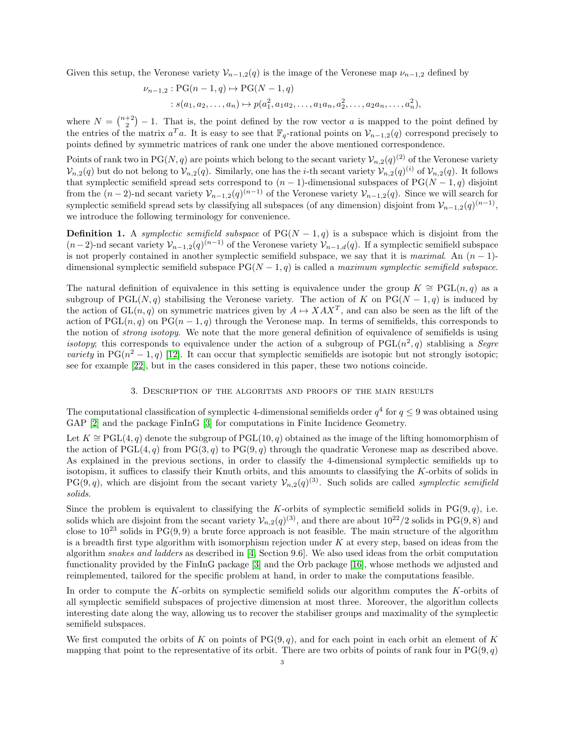Given this setup, the Veronese variety  $\mathcal{V}_{n-1,2}(q)$  is the image of the Veronese map  $\nu_{n-1,2}$  defined by

$$
\nu_{n-1,2} : PG(n-1,q) \mapsto PG(N-1,q)
$$
  
 
$$
: s(a_1, a_2, \dots, a_n) \mapsto p(a_1^2, a_1 a_2, \dots, a_1 a_n, a_2^2, \dots, a_2 a_n, \dots, a_n^2),
$$

where  $N = \binom{n+2}{2} - 1$ . That is, the point defined by the row vector a is mapped to the point defined by the entries of the matrix  $a^T a$ . It is easy to see that  $\mathbb{F}_q$ -rational points on  $\mathcal{V}_{n-1,2}(q)$  correspond precisely to points defined by symmetric matrices of rank one under the above mentioned correspondence.

Points of rank two in PG(N, q) are points which belong to the secant variety  $\mathcal{V}_{n,2}(q)^{(2)}$  of the Veronese variety  $\mathcal{V}_{n,2}(q)$  but do not belong to  $\mathcal{V}_{n,2}(q)$ . Similarly, one has the *i*-th secant variety  $\mathcal{V}_{n,2}(q)^{(i)}$  of  $\mathcal{V}_{n,2}(q)$ . It follows that symplectic semifield spread sets correspond to  $(n - 1)$ -dimensional subspaces of PG( $N - 1, q$ ) disjoint from the  $(n-2)$ -nd secant variety  $\mathcal{V}_{n-1,2}(q)^{(n-1)}$  of the Veronese variety  $\mathcal{V}_{n-1,2}(q)$ . Since we will search for symplectic semifield spread sets by classifying all subspaces (of any dimension) disjoint from  $\mathcal{V}_{n-1,2}(q)^{(n-1)}$ , we introduce the following terminology for convenience.

**Definition 1.** A symplectic semifield subspace of  $PG(N-1,q)$  is a subspace which is disjoint from the  $(n-2)$ -nd secant variety  $\mathcal{V}_{n-1,2}(q)^{(n-1)}$  of the Veronese variety  $\mathcal{V}_{n-1,d}(q)$ . If a symplectic semifield subspace is not properly contained in another symplectic semifield subspace, we say that it is maximal. An  $(n-1)$ dimensional symplectic semifield subspace  $PG(N-1, q)$  is called a maximum symplectic semifield subspace.

The natural definition of equivalence in this setting is equivalence under the group  $K \cong \text{PGL}(n, q)$  as a subgroup of PGL(N, q) stabilising the Veronese variety. The action of K on PG( $N-1, q$ ) is induced by the action of  $GL(n, q)$  on symmetric matrices given by  $A \mapsto XAX^T$ , and can also be seen as the lift of the action of  $PGL(n, q)$  on  $PG(n-1, q)$  through the Veronese map. In terms of semifields, this corresponds to the notion of *strong isotopy*. We note that the more general definition of equivalence of semifields is using isotopy; this corresponds to equivalence under the action of a subgroup of  $PGL(n^2, q)$  stablising a Segre variety in PG( $n^2 - 1$ , q) [\[12\]](#page-11-10). It can occur that symplectic semifields are isotopic but not strongly isotopic; see for example [\[22\]](#page-11-13), but in the cases considered in this paper, these two notions coincide.

## 3. Description of the algoritms and proofs of the main results

<span id="page-2-0"></span>The computational classification of symplectic 4-dimensional semifields order  $q^4$  for  $q \leq 9$  was obtained using GAP [\[2\]](#page-10-3) and the package FinInG [\[3\]](#page-10-4) for computations in Finite Incidence Geometry.

Let  $K \cong \text{PGL}(4, q)$  denote the subgroup of  $\text{PGL}(10, q)$  obtained as the image of the lifting homomorphism of the action of  $PGL(4,q)$  from  $PG(3,q)$  to  $PG(9,q)$  through the quadratic Veronese map as described above. As explained in the previous sections, in order to classify the 4-dimensional symplectic semifields up to isotopism, it suffices to classify their Knuth orbits, and this amounts to classifying the K-orbits of solids in  $PG(9, q)$ , which are disjoint from the secant variety  $\mathcal{V}_{n,2}(q)^{(3)}$ . Such solids are called *symplectic semifield* solids.

Since the problem is equivalent to classifying the K-orbits of symplectic semifield solids in  $PG(9, q)$ , i.e. solids which are disjoint from the secant variety  $\mathcal{V}_{n,2}(q)^{(3)}$ , and there are about  $10^{22}/2$  solids in PG(9,8) and close to  $10^{23}$  solids in PG(9,9) a brute force approach is not feasible. The main structure of the algorithm is a breadth first type algorithm with isomorphism rejection under  $K$  at every step, based on ideas from the algorithm snakes and ladders as described in [\[4,](#page-10-5) Section 9.6]. We also used ideas from the orbit computation functionality provided by the FinInG package [\[3\]](#page-10-4) and the Orb package [\[16\]](#page-11-14), whose methods we adjusted and reimplemented, tailored for the specific problem at hand, in order to make the computations feasible.

In order to compute the K-orbits on symplectic semifield solids our algorithm computes the K-orbits of all symplectic semifield subspaces of projective dimension at most three. Moreover, the algorithm collects interesting date along the way, allowing us to recover the stabiliser groups and maximality of the symplectic semifield subspaces.

We first computed the orbits of K on points of  $PG(9, q)$ , and for each point in each orbit an element of K mapping that point to the representative of its orbit. There are two orbits of points of rank four in  $PG(9, q)$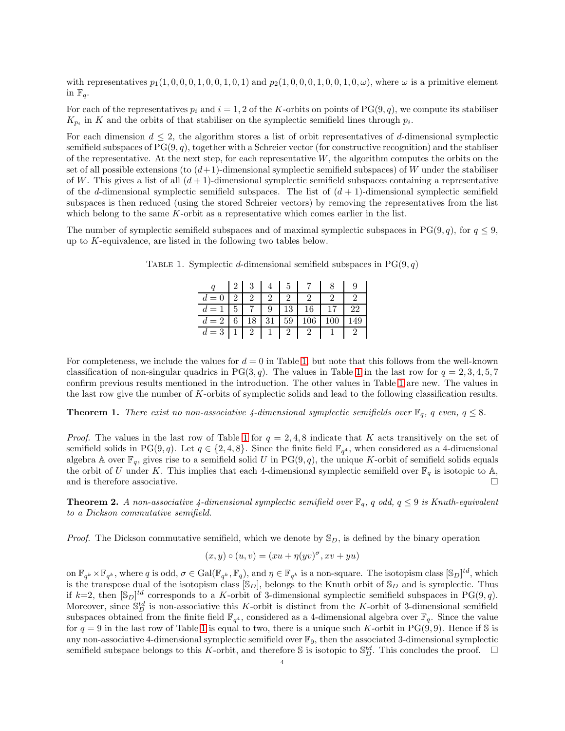with representatives  $p_1(1, 0, 0, 0, 1, 0, 0, 1, 0, 0, 1)$  and  $p_2(1, 0, 0, 0, 1, 0, 0, 1, 0, \omega)$ , where  $\omega$  is a primitive element in  $\mathbb{F}_q$ .

For each of the representatives  $p_i$  and  $i = 1, 2$  of the K-orbits on points of PG(9, q), we compute its stabiliser  $K_{p_i}$  in K and the orbits of that stabiliser on the symplectic semifield lines through  $p_i$ .

For each dimension  $d \leq 2$ , the algorithm stores a list of orbit representatives of d-dimensional symplectic semifield subspaces of  $PG(9, q)$ , together with a Schreier vector (for constructive recognition) and the stabliser of the representative. At the next step, for each representative  $W$ , the algorithm computes the orbits on the set of all possible extensions (to  $(d+1)$ -dimensional symplectic semifield subspaces) of W under the stabiliser of W. This gives a list of all  $(d+1)$ -dimensional symplectic semifield subspaces containing a representative of the d-dimensional symplectic semifield subspaces. The list of  $(d + 1)$ -dimensional symplectic semifield subspaces is then reduced (using the stored Schreier vectors) by removing the representatives from the list which belong to the same K-orbit as a representative which comes earlier in the list.

The number of symplectic semifield subspaces and of maximal symplectic subspaces in PG(9,q), for  $q \leq 9$ , up to K-equivalence, are listed in the following two tables below.

<span id="page-3-0"></span>

|                            |  | $2 \mid 3 \mid 4 \mid 5 \mid$    |          |              |                 |    |
|----------------------------|--|----------------------------------|----------|--------------|-----------------|----|
| $d = 0$   2   2   2        |  |                                  | $\Omega$ |              |                 |    |
| $d = 1 \mid 5 \mid 7 \mid$ |  | -9                               |          | $13 \mid 16$ | 17 <sub>1</sub> | 22 |
| $d=2$                      |  | $6 \mid 18 \mid 31 \mid 59 \mid$ |          | 106          |                 |    |
| $d=3$   1   2   1   2   2  |  |                                  |          |              |                 |    |

TABLE 1. Symplectic d-dimensional semifield subspaces in  $PG(9, q)$ 

For completeness, we include the values for  $d = 0$  in Table [1,](#page-3-0) but note that this follows from the well-known classification of non-singular quadrics in PG(3, q). The values in Table [1](#page-3-0) in the last row for  $q = 2, 3, 4, 5, 7$ confirm previous results mentioned in the introduction. The other values in Table [1](#page-3-0) are new. The values in the last row give the number of K-orbits of symplectic solids and lead to the following classification results.

**Theorem 1.** There exist no non-associative 4-dimensional symplectic semifields over  $\mathbb{F}_q$ , q even,  $q \leq 8$ .

*Proof.* The values in the last row of Table [1](#page-3-0) for  $q = 2, 4, 8$  indicate that K acts transitively on the set of semifield solids in PG(9,q). Let  $q \in \{2, 4, 8\}$ . Since the finite field  $\mathbb{F}_{q^4}$ , when considered as a 4-dimensional algebra A over  $\mathbb{F}_q$ , gives rise to a semifield solid U in PG $(9, q)$ , the unique K-orbit of semifield solids equals the orbit of U under K. This implies that each 4-dimensional symplectic semifield over  $\mathbb{F}_q$  is isotopic to A, and is therefore associative.  $\Box$ 

**Theorem 2.** A non-associative 4-dimensional symplectic semifield over  $\mathbb{F}_q$ , q odd,  $q \leq 9$  is Knuth-equivalent to a Dickson commutative semifield.

*Proof.* The Dickson commutative semifield, which we denote by  $\mathbb{S}_D$ , is defined by the binary operation

$$
(x, y) \circ (u, v) = (xu + \eta(yv)^{\sigma}, xv + yu)
$$

on  $\mathbb{F}_{q^k} \times \mathbb{F}_{q^k}$ , where q is odd,  $\sigma \in \text{Gal}(\mathbb{F}_{q^k}, \mathbb{F}_q)$ , and  $\eta \in \mathbb{F}_{q^k}$  is a non-square. The isotopism class  $[\mathbb{S}_D]^{td}$ , which is the transpose dual of the isotopism class  $[\mathbb{S}_D]$ , belongs to the Knuth orbit of  $\mathbb{S}_D$  and is symplectic. Thus if  $k=2$ , then  $[\mathbb{S}_D]^{td}$  corresponds to a K-orbit of 3-dimensional symplectic semifield subspaces in PG(9,q). Moreover, since  $\mathbb{S}_{D}^{td}$  is non-associative this K-orbit is distinct from the K-orbit of 3-dimensional semifield subspaces obtained from the finite field  $\mathbb{F}_{q^4}$ , considered as a 4-dimensional algebra over  $\mathbb{F}_q$ . Since the value for  $q = 9$  in the last row of Table [1](#page-3-0) is equal to two, there is a unique such K-orbit in PG(9,9). Hence if S is any non-associative 4-dimensional symplectic semifield over  $\mathbb{F}_9$ , then the associated 3-dimensional symplectic semifield subspace belongs to this K-orbit, and therefore S is isotopic to  $\mathbb{S}_{D}^{td}$ . This concludes the proof.  $\Box$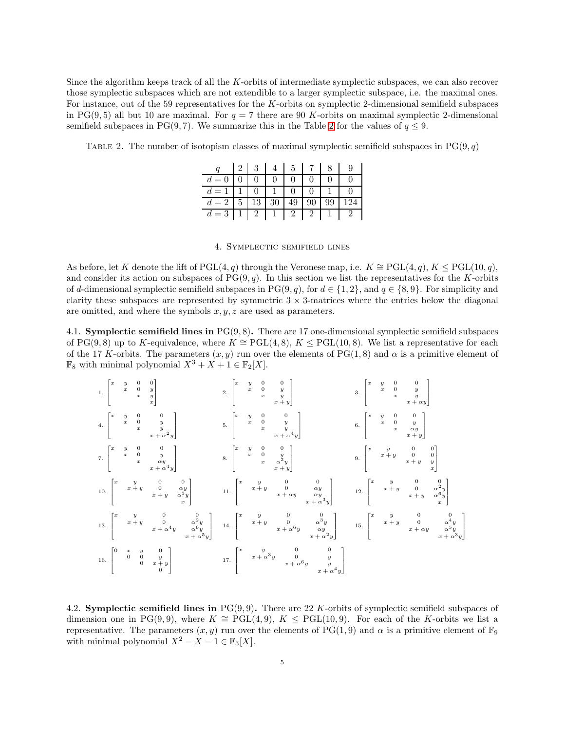Since the algorithm keeps track of all the K-orbits of intermediate symplectic subspaces, we can also recover those symplectic subspaces which are not extendible to a larger symplectic subspace, i.e. the maximal ones. For instance, out of the 59 representatives for the K-orbits on symplectic 2-dimensional semifield subspaces in PG(9,5) all but 10 are maximal. For  $q = 7$  there are 90 K-orbits on maximal symplectic 2-dimensional semifield subspaces in PG(9,7). We summarize this in the Table [2](#page-4-1) for the values of  $q \leq 9$ .

<span id="page-4-1"></span>TABLE 2. The number of isotopism classes of maximal symplectic semifield subspaces in  $PG(9, q)$ 

|           |   | 3              |    | 5  |    |     |
|-----------|---|----------------|----|----|----|-----|
| $=$       |   |                |    |    |    |     |
|           |   |                |    |    |    |     |
| $=2$<br>d | 5 | 13             | 30 | 49 | 99 | 124 |
| $=$ 3     |   | $\overline{2}$ |    |    |    |     |

## 4. Symplectic semifield lines

<span id="page-4-0"></span>As before, let K denote the lift of PGL(4, q) through the Veronese map, i.e.  $K \cong \text{PGL}(4,q)$ ,  $K \leq \text{PGL}(10,q)$ , and consider its action on subspaces of  $PG(9, q)$ . In this section we list the representatives for the K-orbits of d-dimensional symplectic semifield subspaces in PG(9, q), for  $d \in \{1, 2\}$ , and  $q \in \{8, 9\}$ . For simplicity and clarity these subspaces are represented by symmetric  $3 \times 3$ -matrices where the entries below the diagonal are omitted, and where the symbols  $x, y, z$  are used as parameters.

4.1. Symplectic semifield lines in PG(9, 8). There are 17 one-dimensional symplectic semifield subspaces of PG(9,8) up to K-equivalence, where  $K \cong \text{PGL}(4,8)$ ,  $K \leq \text{PGL}(10,8)$ . We list a representative for each of the 17 K-orbits. The parameters  $(x, y)$  run over the elements of PG(1,8) and  $\alpha$  is a primitive element of  $\mathbb{F}_8$  with minimal polynomial  $X^3 + X + 1 \in \mathbb{F}_2[X]$ .

1. 
$$
\begin{bmatrix} x & y & 0 & 0 \ x & 0 & y \ x & x \end{bmatrix}
$$
  
\n1. 
$$
\begin{bmatrix} x & y & 0 & 0 \ x & 0 & y \ x & 0 & y \ x & 0 & 0 \end{bmatrix}
$$
  
\n2. 
$$
\begin{bmatrix} x & y & 0 & 0 \ x & 0 & y \ x & 0 & 0 \ x & 0 & y \ x & 0 & 0 \end{bmatrix}
$$
  
\n3. 
$$
\begin{bmatrix} x & y & 0 & 0 \ x & 0 & y \ x & 0 & 0 \ x & 0 & y \ x & 0 & 0 \ x & 0 & y \ x & 0 & 0 \end{bmatrix}
$$
  
\n4. 
$$
\begin{bmatrix} x & y & 0 & 0 \ x & 0 & y \ x & 0 & 0 \ x & 0 & y \ x & 0 & 0 \end{bmatrix}
$$
  
\n5. 
$$
\begin{bmatrix} x & y & 0 & 0 \ x & 0 & y \ x & 0 & 0 \ x & 0 & y \ x & 0 & 0 \end{bmatrix}
$$
  
\n6. 
$$
\begin{bmatrix} x & y & 0 & 0 \ x & 0 & 0 \ x & 0 & y \ x + y & 0 & 0 \ x & 0 & y \ x + y & y \ x + y & 0 & 0 \end{bmatrix}
$$
  
\n7. 
$$
\begin{bmatrix} x & y & 0 & 0 \ x & 0 & y \ x + y & 0 & \alpha y \ x + y & \alpha^3 y \ x + \alpha^4 y & \alpha^6 y \ x + \alpha^5 y \end{bmatrix}
$$
  
\n10. 
$$
\begin{bmatrix} x & y & 0 & 0 \ x & x + y & 0 & \alpha^2 y \ x + y & 0 & \alpha^2 y \ x + \alpha^4 y & \alpha^6 y \ x + \alpha^5 y \end{bmatrix}
$$
  
\n11. 
$$
\begin{bmatrix} x & y & 0 & 0 \ x & x + y & 0 & \alpha^3 y \ x + \alpha^6 y & \alpha y \ x + \alpha^6 y & \alpha y \ x + \alpha^8 y & y \ x + \alpha^4 y \end{bmatrix}
$$
  
\n12. 
$$
\begin{bmatrix} x & y & 0 & 0 \ x & y & 0 & \alpha^2 y \ x + y & 0 & \alpha^3 y \ x + \alpha^4 y & x +
$$

4.2. Symplectic semifield lines in  $PG(9, 9)$ . There are 22 K-orbits of symplectic semifield subspaces of dimension one in PG(9,9), where  $K \cong \text{PGL}(4, 9)$ ,  $K \leq \text{PGL}(10, 9)$ . For each of the K-orbits we list a representative. The parameters  $(x, y)$  run over the elements of PG(1,9) and  $\alpha$  is a primitive element of  $\mathbb{F}_9$ with minimal polynomial  $X^2 - X - 1 \in \mathbb{F}_3[X]$ .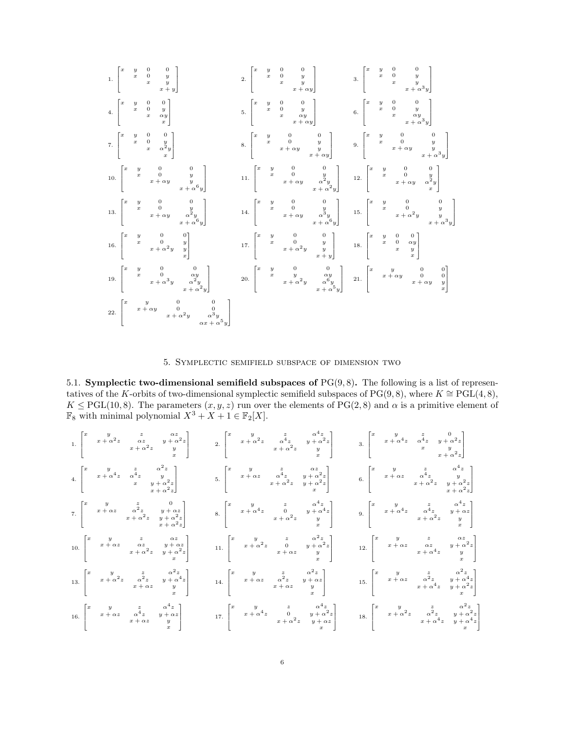

5. Symplectic semifield subspace of dimension two

<span id="page-5-0"></span>5.1. Symplectic two-dimensional semifield subspaces of  $PG(9, 8)$ . The following is a list of representatives of the K-orbits of two-dimensional symplectic semifield subspaces of PG(9,8), where  $K \cong \text{PGL}(4,8)$ ,  $K \leq \text{PGL}(10, 8)$ . The parameters  $(x, y, z)$  run over the elements of PG(2,8) and  $\alpha$  is a primitive element of  $\mathbb{F}_8$  with minimal polynomial  $X^3 + X + 1 \in \mathbb{F}_2[X]$ .

1. 
$$
\begin{bmatrix} x & y & z & \alpha z & y & z \\ x + \alpha^2 z & x^2 & y + \alpha^2 z & z & \alpha^4 z & y + \alpha^2 z \\ x + \alpha^4 z & x & y & x \\ x & x + \alpha^2 z & y & x \\ x & x + \alpha^2 z & y & x \\ x & x + \alpha^2 z & y & x \\ x & x + \alpha^2 z & y & x \\ x & x + \alpha^2 z & y & x \\ x & x + \alpha^2 z & y & x \\ x & x + \alpha^2 z & y & x \\ x & x + \alpha^2 z & y & x \\ x & x + \alpha^2 z & y & x \\ x & x + \alpha^2 z & y & x \\ x & x + \alpha^2 z & y & x \\ x & x + \alpha^2 z & y & x \\ x & x + \alpha^2 z & y & x \\ x & x + \alpha^2 z & y & x \\ x & x + \alpha^2 z & y & x \\ x & x + \alpha^2 z & y & x \\ x & x + \alpha^2 z & y & x \\ x & x + \alpha^2 z & y & x \\ x & x + \alpha^2 z & y & x \\ x & x + \alpha^2 z & y & x \\ x & x + \alpha^2 z & y & x \\ x & x + \alpha^2 z & y & x \\ x & x + \alpha^2 z & y & x \\ x & x + \alpha^2 z & y & x \\ x & x + \alpha^2 z & y & x \\ x & x + \alpha^2 z & y & x \\ x & x + \alpha^2 z & y & x \\ x & x + \alpha^2 z & y & x \\ x & x + \alpha^2 z & y & x \\ x & x + \alpha^2 z & y & x \\ x & x + \alpha^2 z & y & x \\ x & x + \alpha^2 z & y & x \\ x & x + \alpha^2 z & y & x \\ x & x + \alpha^2 z & y & x \\ x & x + \alpha^2 z & y & x \\ x & x + \alpha^2 z & y & x \\ x & x + \alpha^2 z & y & x \\ x & x + \alpha^2 z & y & x \\ x & x + \alpha^2 z & y & x \\ x & x + \alpha^2 z & y & x \\ x & x + \alpha^2 z & y & x \\ x & x + \alpha^2 z & y & x \\ x & x + \alpha^2 z & y & x \\ x & x + \alpha^2 z & y & x \\ x & x + \alpha^2 z & y & x \\ x & x + \alpha^2 z & y & x \\ x & x + \alpha^2 z & y & x \\ x & x + \alpha^2 z & y & x \\ x & x + \alpha^2 z & y & x \\ x &
$$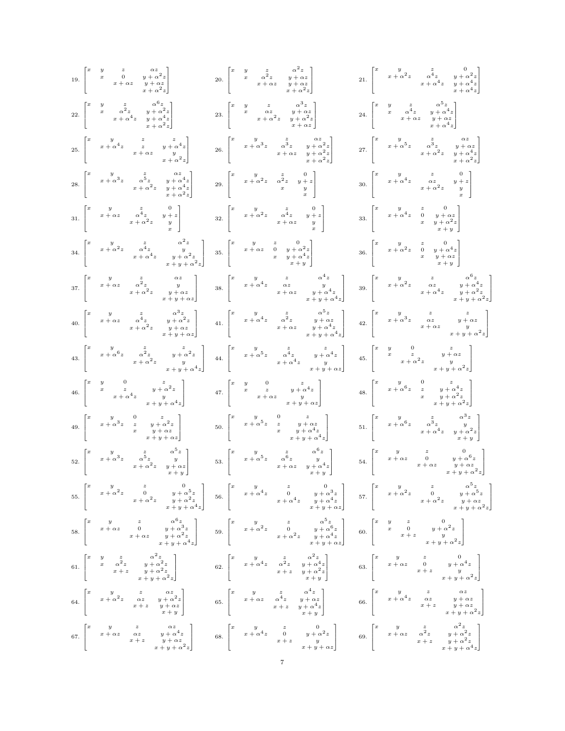| $19. \begin{bmatrix} x & y & z & \alpha z \\ & x & 0 & y+\alpha^2 z \\ & & x+\alpha z & y+\alpha z \\ & & & x+\alpha^2 z \end{bmatrix}$                                                                                                                                                                                                                                                                                                                                                           | 20. $\begin{bmatrix} x & y & z & \alpha^2 z \\ & x & \alpha^2 z & y + \alpha z \\ & & x + \alpha z & y + \alpha z \\ & & & x + \alpha^2 z \end{bmatrix}$                                                                                                                                                                                       | $21. \begin{bmatrix} x & y & z & 0 \\ & x + \alpha^2 z & \alpha^4 z & y + \alpha^2 z \\ & & x + \alpha^4 z & y + \alpha^4 z \\ & & x + \alpha^4 z & y + \alpha^4 z \end{bmatrix}$ |
|---------------------------------------------------------------------------------------------------------------------------------------------------------------------------------------------------------------------------------------------------------------------------------------------------------------------------------------------------------------------------------------------------------------------------------------------------------------------------------------------------|------------------------------------------------------------------------------------------------------------------------------------------------------------------------------------------------------------------------------------------------------------------------------------------------------------------------------------------------|-----------------------------------------------------------------------------------------------------------------------------------------------------------------------------------|
| $22. \begin{bmatrix} x & y & z & \alpha^6 z \\ & x & \alpha^2 z & y + \alpha^2 z \\ & & x + \alpha^4 z & y + \alpha^4 z \\ & & & x + \alpha^2 z \end{bmatrix}$                                                                                                                                                                                                                                                                                                                                    | $23. \begin{bmatrix} x & y & z & \alpha^3 z \\ & x & \alpha z & y+\alpha z \\ & & x+\alpha^2 z & y+\alpha^2 z \\ & & & x+\alpha z \end{bmatrix}$                                                                                                                                                                                               | $24. \begin{bmatrix} x & y & z & \alpha^0 z \\ & x & \alpha^4 z & y + \alpha^4 z \\ & & x + \alpha z & y + \alpha z \\ & & & x + \alpha^4 z \end{bmatrix}$                        |
| $25. \begin{bmatrix} x & y & z & z & z \\ & x + \alpha^4 z & z & y + \alpha^4 z \\ & & x + \alpha z & y & z \\ & & & x + \alpha^2 z \end{bmatrix}$                                                                                                                                                                                                                                                                                                                                                | $26. \begin{bmatrix} x&y&z&\alpha z\\ &x+\alpha^3z&\alpha^3z&y+\alpha^2z\\ &&x+\alpha z&y+\alpha^2z\\ &&&x+\alpha z\end{bmatrix}$                                                                                                                                                                                                              | $27. \begin{bmatrix} x & y & z & \alpha z \\ & x+\alpha^5 z & \alpha^3 z & y+\alpha z \\ & & x+\alpha^2 z & y+\alpha^4 z \\ & & & x+\alpha^2 z \end{bmatrix}$                     |
| $28. \begin{bmatrix} x & y & z & \alpha z \\ & x + \alpha^3 z & \alpha^5 z & y + \alpha^4 z \\ & & x + \alpha^2 z & y + \alpha^4 z \\ & & & x + \alpha^2 z \end{bmatrix}.$                                                                                                                                                                                                                                                                                                                        | $29. \begin{bmatrix} x&y&z&0\\ &x+\alpha^2z&\alpha^2z&y+z\\ &x&x&y\\ \end{bmatrix}$                                                                                                                                                                                                                                                            | 30. $\begin{bmatrix} x & y & z & 0 \\ x + \alpha^4 z & \alpha z & y + z \\ x + \alpha^2 z & y & z \end{bmatrix}$                                                                  |
| 31. $\begin{bmatrix} x & y & z & 0 \\ x + \alpha z & \alpha^4 z & y + z \\ x + \alpha^2 z & y & z \end{bmatrix}$                                                                                                                                                                                                                                                                                                                                                                                  | $32. \begin{bmatrix} x&y&z&0\\ &x+\alpha^2z&\alpha^4z&y+z\\ &x+\alpha z&y&\\ \end{bmatrix}$                                                                                                                                                                                                                                                    | 33. $\begin{bmatrix} x & y & z & 0 \\ x + \alpha^4 z & 0 & y + \alpha z \\ x & x & y + \alpha^2 z \\ x & x + y \end{bmatrix}$                                                     |
| 34. $\begin{bmatrix} x & y & z & a^2z \\ & x + a^2z & a^4z & y \\ & & x + a^4z & y + a^2z \\ & & & & x + w + a^2z \end{bmatrix}$                                                                                                                                                                                                                                                                                                                                                                  | 35. $\begin{bmatrix} x & y & z & 0 \\ x + \alpha z & 0 & y + \alpha^2 z \\ x & y + \alpha^4 z \\ x & x + \alpha z \end{bmatrix}$                                                                                                                                                                                                               | 36. $\begin{bmatrix} x & y & z & 0 \\ x + \alpha^2 z & 0 & y + \alpha^4 z \\ x & x & y + \alpha z \\ x + y & x + y \end{bmatrix}$                                                 |
| $37. \begin{bmatrix} x&y&z&\alpha z\\ &x+\alpha z&\alpha^2z&y&\\ &&x+\alpha^2z&y+\alpha z\\ &&x+y+\alpha z&\\ &&x+y+\alpha z \end{bmatrix} \qquad 38. \begin{bmatrix} x&y&z&\alpha^4z\\ &x+\alpha^4z&\alpha z&y&\\ &&x+\alpha z&y+\alpha^4z\\ &&x+y+\alpha^4z \end{bmatrix}$                                                                                                                                                                                                                      |                                                                                                                                                                                                                                                                                                                                                | $39. \begin{bmatrix} x&y&z&\alpha^0z\\ &x+\alpha^2z&\alpha z&y+\alpha^4z\\ &&x+\alpha^4z&y+\alpha^2z\\ &&x+y+\alpha^2z \end{bmatrix}$                                             |
| $40. \begin{bmatrix} x & y & z & \alpha^3 z \\ & x + \alpha z & \alpha^4 z & y + \alpha^2 z \\ & & x + \alpha^2 z & y + \alpha z \\ & & & x + \alpha^2 z & y + \alpha z \end{bmatrix} \qquad 41. \begin{bmatrix} x & y & z & \alpha^5 z \\ & x + \alpha^4 z & \alpha^2 z & y + \alpha z \\ & & x + \alpha z & y + \alpha^4 z \\ & & & x + y + \alpha^4 z \end{bmatrix}$                                                                                                                           |                                                                                                                                                                                                                                                                                                                                                | $42. \begin{bmatrix} x&y&z&z&z\\ &x+\alpha^3z&\alpha z&y+\alpha z\\ &&x+\alpha z&y\\ &&x+y+\alpha^2 z \end{bmatrix}$                                                              |
| $43. \begin{bmatrix} x & y & z & z \\ & x + \alpha^6 z & \alpha^2 z & y + \alpha^2 z \\ & & x + \alpha^2 z & y \\ & & & x + y + \alpha^4 z \end{bmatrix}$                                                                                                                                                                                                                                                                                                                                         | $44.\,\,\left[\begin{matrix}x&y&z&z\\&x+\alpha^5z&\alpha^4z&y+\alpha^4z\\&x+\alpha^4z&y&y\\&&x+y+\alpha z\end{matrix}\right]$                                                                                                                                                                                                                  | $45. \begin{bmatrix} x & y & 0 & z \\ & x & z & y + \alpha z \\ & & x + \alpha^2 z & y \\ & & & x + y + \alpha^2 z \end{bmatrix}$                                                 |
| $46. \begin{bmatrix} x & y & 0 & z \\ & x & z & y + \alpha^2 z \\ & & x + \alpha^4 z & y \\ & & & x + y + \alpha^4 z \end{bmatrix}$                                                                                                                                                                                                                                                                                                                                                               | 47. $\begin{bmatrix} x & y & 0 & z \\ & x & z & y+\alpha^4 z \\ & & x+\alpha z & y & y \\ & & & x+y+\alpha z \end{bmatrix}$                                                                                                                                                                                                                    | $48. \begin{bmatrix} x & y & 0 & z \\ & x + \alpha^6 z & z & y + \alpha^4 z \\ & x & y + \alpha^2 z \\ & & x + y + \alpha^2 z \end{bmatrix}$                                      |
| $49. \begin{bmatrix} x & y & 0 & z \\ & x + \alpha^3 z & z & y + \alpha^2 z \\ & & x & y + \alpha z & \\ & & & y + \alpha z & \\ & & & x + y + \alpha z \end{bmatrix} \hspace{.7cm} \nonumber \\ 50. \begin{bmatrix} x & y & 0 & z \\ & x + \alpha^5 z & z & y + \alpha z \\ & & & x & y + \alpha^4 z \\ & & & & x + y + \alpha^4 z \end{bmatrix}$                                                                                                                                                |                                                                                                                                                                                                                                                                                                                                                | 51. $\begin{bmatrix} x & y & z & \alpha^3 z \\ x + \alpha^6 z & \alpha^3 z & y \\ x + \alpha^4 z & y + \alpha^2 z \\ y + \alpha^4 z & z + y \end{bmatrix}$                        |
| 52. $\begin{bmatrix} x & y & z & \alpha^5 z \\ x + \alpha^3 z & \alpha^5 z & y \\ x + \alpha^2 z & y + \alpha z \end{bmatrix}$                                                                                                                                                                                                                                                                                                                                                                    | 53. $\begin{bmatrix} x & y & z & \alpha^0 z \\ & x + \alpha^5 z & \alpha^6 z & y \\ & & x + \alpha z & y + \alpha^4 z \\ & & & x + w \end{bmatrix}$                                                                                                                                                                                            | 54. $\begin{bmatrix} x & y & z & 0 \\ & x+\alpha z & 0 & y+\alpha^6 z \\ & & x+\alpha z & y+\alpha z \\ & & & x+\alpha+\alpha^2 z \end{bmatrix}$                                  |
| $55. \begin{bmatrix} x & y & z & 0 \\ & x + \alpha^2 z & 0 & y + \alpha^5 z \\ & & x + \alpha^2 z & y + \alpha^2 z \\ & & & x + y + \alpha^4 z \end{bmatrix} \quad 56. \begin{bmatrix} x & y & z & 0 \\ & x + \alpha^4 z & 0 & y + \alpha^3 z \\ & & & x + \alpha^4 z & y + \alpha^4 z \\ & & & & x + y + \alpha z \end{bmatrix} \quad 57. \begin{bmatrix} x & y & z & \alpha^5 z \\ & x + \alpha^2 z & 0 & y + \alpha^5 z \\ & & & & x + \alpha^2 z & y + \alpha z \\ & & & & x + \$             |                                                                                                                                                                                                                                                                                                                                                |                                                                                                                                                                                   |
| $58. \begin{bmatrix} x & y & z & \alpha^6 z \\ & x + \alpha z & 0 & y + \alpha^3 z \\ & & x + \alpha z & y + \alpha^2 z \\ & & & x + w + \alpha^4 z \end{bmatrix} \qquad 59. \begin{bmatrix} x & y & z & \alpha^5 z \\ & x + \alpha^2 z & 0 & y + \alpha^6 z \\ & & & x + \alpha^2 z & y + \alpha^4 z \\ & & & & x + \alpha^4 z & y + \alpha z \\ & & & & x + y + \alpha z \end{bmatrix} \qquad 60. \begin{bmatrix} x & y & z & 0 \\ & x & 0 & y + \alpha^2 z \\ & & & & y + \alpha^2 z \\$       |                                                                                                                                                                                                                                                                                                                                                |                                                                                                                                                                                   |
| 61. $\begin{bmatrix} x & y & z & \alpha^2 z & z \\ x & \alpha^2 z & y + \alpha^2 z & z \\ x + z & y + \alpha^2 z & z \end{bmatrix}$ 62. $\begin{bmatrix} x & y & z & \alpha^2 z \\ x + \alpha^4 z & \alpha^2 z & y + \alpha^4 z \\ x + z & y + \alpha^4 z & z \end{bmatrix}$ 63. $\begin{bmatrix} x & y & z & 0 \\ x + \alpha z & 0 & y + \alpha^4 z \\ x + z & 0 & y + \alpha^4 z \\ x + z & 0 & y + \alpha^4 z \\ x + z & 0 & z \end{bmatrix}$                                                  |                                                                                                                                                                                                                                                                                                                                                |                                                                                                                                                                                   |
| 64. $\begin{bmatrix} x & y & z & \alpha z \\ x + \alpha^2 z & \alpha z & y + \alpha^2 z \\ x + z & y + \alpha z & x + y \end{bmatrix}$                                                                                                                                                                                                                                                                                                                                                            | 65. $\begin{bmatrix} x & y & z & \alpha^4 z \\ x + \alpha z & \alpha^4 z & y + \alpha z \\ x + z & y + \alpha^4 z & z \\ x + z & y + \alpha^4 z & z \end{bmatrix}$ 66. $\begin{bmatrix} x & y & z & \alpha z \\ x + \alpha^4 z & \alpha z & y + \alpha z \\ x + \alpha^4 z & x + z & y + \alpha z \\ x + z & y + \alpha^2 z & z \end{bmatrix}$ |                                                                                                                                                                                   |
| 67. $\begin{bmatrix} x & y & z & \alpha z & z \\ x + \alpha z & \alpha z & y + \alpha^2 z & z + \alpha z & z \\ x + z & y + \alpha z & z + \alpha z & z \\ x + w + \alpha^2 z & x + w + \alpha z & z \end{bmatrix}$ 68. $\begin{bmatrix} x & y & z & 0 \\ x + \alpha^2 z & 0 & y + \alpha^2 z & z \\ x + z & y & z & z \\ x + z & y + \alpha z & z + \alpha z & z + \alpha + \alpha^4 z \\ x + w + \alpha^2 z & x + \alpha^2 z & z + \alpha + \alpha^4 z \end{bmatrix}$ 69. $\begin{bmatrix} x &$ |                                                                                                                                                                                                                                                                                                                                                |                                                                                                                                                                                   |
|                                                                                                                                                                                                                                                                                                                                                                                                                                                                                                   | 7                                                                                                                                                                                                                                                                                                                                              |                                                                                                                                                                                   |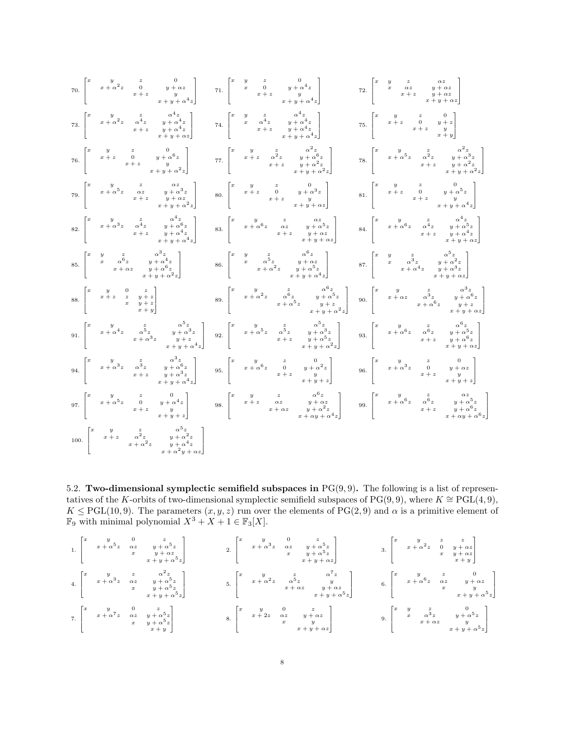| $70. \begin{bmatrix} x & y & z & 0 \\ & x+\alpha^2 z & 0 & y+\alpha z \\ & & x+z & y & y \\ & & & x+y+\alpha^4 z \end{bmatrix} \qquad 71. \begin{bmatrix} x & y & z & 0 \\ & x & 0 & y+\alpha^4 z \\ & & x+z & y \\ & & & x+y+\alpha^4 z \end{bmatrix}$                                                                                                                                                                        |                                                                                                                                                                             | $72. \begin{bmatrix} x & y & z & \alpha z \\ & x & \alpha z & y+\alpha z \\ & & x+z & y+\alpha z \\ & & & x+y+\alpha z \end{bmatrix}$                                        |
|--------------------------------------------------------------------------------------------------------------------------------------------------------------------------------------------------------------------------------------------------------------------------------------------------------------------------------------------------------------------------------------------------------------------------------|-----------------------------------------------------------------------------------------------------------------------------------------------------------------------------|------------------------------------------------------------------------------------------------------------------------------------------------------------------------------|
| $73. \begin{bmatrix} x&y&z&\alpha^4z\\ &x+\alpha^2z&\alpha^4z&y+\alpha^4z\\ &x+z&y+\alpha^4z&\\ &&x+y+\alpha z \end{bmatrix} \qquad \quad 74. \begin{bmatrix} x&y&z&\alpha^4z\\ &x&\alpha^4z&y+\alpha^4z\\ &x+z&y+\alpha^4z\\ &&x+z&y+\alpha^4z \end{bmatrix}$                                                                                                                                                                 |                                                                                                                                                                             | $\mbox{75.} \begin{bmatrix} x & y & z & 0 \\ & x+z & 0 & y+z \\ & & x+z & y \\ & & & x+y \end{bmatrix}$                                                                      |
| 76. $\begin{bmatrix} x & y & z & 0 \\ x+z & 0 & y+\alpha^6 z \\ x+z & x+y+\alpha^2 z \end{bmatrix}$                                                                                                                                                                                                                                                                                                                            | 77. $\begin{bmatrix} x & y & z & \alpha^2 z \\ x+z & \alpha^2 z & y+\alpha^2 z \\ x+z & y+\alpha^2 z & +\alpha^2 z \\ x+y+\alpha^2 z & x+\alpha^2 z \end{bmatrix}$          | $78. \begin{bmatrix} x&y&z&\alpha^2z&x\\ &x+\alpha^5z&\alpha^2z&y+\alpha^3z\\ &x+z&y+\alpha^2z&y+\alpha^2z\\ &&x+y+\alpha^2z \end{bmatrix}$                                  |
| $79. \begin{bmatrix} x & y & z & \alpha z \\ & x+\alpha^5 z & \alpha z & y+\alpha^3 z \\ & & x+z & y+\alpha z \\ & & & x+y+\alpha^2 z \end{bmatrix}$                                                                                                                                                                                                                                                                           | $80. \begin{bmatrix} x & y & z & 0 \\ & x+z & 0 & y+\alpha^3 z \\ & & x+z & y \\ & & & x+y+\alpha z \end{bmatrix}$                                                          | $81. \begin{bmatrix} x & y & z & 0 \\ & x+z & 0 & y+\alpha^5 z \\ & & x+z & y \\ & & & x+y+\alpha^4 z \end{bmatrix}$                                                         |
| $82. \begin{bmatrix} x & y & z & \alpha^4 z \\ & x+\alpha^3 z & \alpha^4 z & y+\alpha^4 z \\ & & x+z & y+\alpha^4 z \\ & & & x+y+\alpha^4 z \end{bmatrix}$                                                                                                                                                                                                                                                                     | $83. \begin{bmatrix} x & y & z & \alpha z \\ & x+\alpha^6 z & \alpha z & y+\alpha^5 z \\ & & x+z & y+\alpha z \\ & & x+y+\alpha z \end{bmatrix}$                            | $84.\,\, \left[\begin{matrix} x & y & z & \alpha^4 z \\ & x+\alpha^6 z & \alpha^4 z & y+\alpha^5 z \\ & & x+z & y+\alpha^4 z \\ & & & x+y+\alpha z \end{matrix}\right]$      |
| 85. $\begin{bmatrix} x & y & z & \alpha^3 z \\ & x & \alpha^6 z & y + \alpha^4 z \\ & & x + \alpha z & y + \alpha^6 z \\ & & & x + y + \alpha^2 z \end{bmatrix}$                                                                                                                                                                                                                                                               | $86. \begin{bmatrix} x & y & z & \alpha^6 z \\ & x & \alpha^5 z & y + \alpha z \\ & & x + \alpha^2 z & y + \alpha^5 z \\ & & & x + y + \alpha^4 z \end{bmatrix}$            | 87. $\begin{bmatrix} x & y & z & a^5z \\ x & a^3z & y+a^2z \\ x+a^4z & y+ a^3z \\ x+a^4z & y+ a^3z \end{bmatrix}$                                                            |
| 88. $\begin{bmatrix} x & y & 0 & z \\ x+z & z & y+z \\ x & x & y+z \\ x & x+z \end{bmatrix}$                                                                                                                                                                                                                                                                                                                                   | $89. \begin{bmatrix} x&y&z&\alpha^0z&\alpha^0z\\ &x+\alpha^2z&\alpha^6z&y+\alpha^5z\\ &x+\alpha^5z&y+z&z\\ &&x+y+\alpha^2z \end{bmatrix}$                                   | $90. \begin{bmatrix} x&y&z&\alpha^3z\\ &x+\alpha z&\alpha^3z&y+\alpha^6z\\ &x+\alpha^6z&y+z\\ &&x+y+\alpha z \end{bmatrix}$                                                  |
| $91. \begin{bmatrix} x&y&z&\alpha^5z&\alpha^9z\\ &x+\alpha^4z&\alpha^5z&y+\alpha^3z\\ &x+\alpha^3z&y+z^4z\\ &&x+y+\alpha^4z \end{bmatrix}$                                                                                                                                                                                                                                                                                     | $92.\,\, \left[ \begin{matrix} x & y & z & \alpha^5 z \\ & x+\alpha^5 z & \alpha^5 z & y+\alpha^3 z \\ & & x+z & y+\alpha^5 z \\ & & & x+y+\alpha^2 z \end{matrix} \right]$ | $93. \begin{bmatrix} x & y & z & \alpha^6 z \\ & x+\alpha^6 z & \alpha^6 z & y+\alpha^5 z \\ & & x+z & y+\alpha^6 z \\ & & & x+y+\alpha z \end{bmatrix}$                     |
| $94. \begin{bmatrix} x & y & z & \alpha^3 z & x^2 z \\ & x+\alpha^3 z & \alpha^3 z & y+\alpha^6 z \\ & & x+z & y+\alpha^3 z & \\ & & & x+y+\alpha^4 z \end{bmatrix} \qquad 95. \begin{bmatrix} x & y & z & 0 \\ & x+\alpha^6 z & 0 & y+\alpha^2 z \\ & & & x+z & y \\ & & & & x+y+z \end{bmatrix} \qquad 96. \begin{bmatrix} x & y & z & 0 \\ & x+\alpha^3 z & 0 & y+\alpha z \\ & & & x+z & y \\ & & & & x+y+z \end{bmatrix}$ |                                                                                                                                                                             |                                                                                                                                                                              |
| $\label{eq:3.16} 97. \begin{bmatrix} x & y & z & 0 \\ & x+\alpha^5z & 0 & y+\alpha^4z \\ & & x+z & y & z \\ & & & x+y+z \end{bmatrix} \qquad \quad \  98. \begin{bmatrix} x & y & z & \alpha^6z \\ & x+z & \alpha z & y+\alpha^2z \\ & & x+\alpha z & y+\alpha^2z \\ & & & x+\alpha y+\alpha^4z \end{bmatrix}.$                                                                                                                |                                                                                                                                                                             | 99. $\left[ \begin{matrix} x & y & z & \alpha z \\ & x+\alpha^6 z & \alpha^6 z & y+\alpha^5 z \\ & & x+z & y+\alpha^6 z \\ & & & x+\alpha y+\alpha^6 z \end{matrix} \right]$ |
| $100. \begin{bmatrix} x & y & z & \alpha^0 z \\ & x+z & \alpha^2 z & y+\alpha^2 z \\ & & x+\alpha^2 z & y+\alpha^4 z \\ & & & x+\alpha^2 y+\alpha z \end{bmatrix}$                                                                                                                                                                                                                                                             |                                                                                                                                                                             |                                                                                                                                                                              |

5.2. Two-dimensional symplectic semifield subspaces in  $PG(9, 9)$ . The following is a list of representatives of the K-orbits of two-dimensional symplectic semifield subspaces of PG(9,9), where  $K \cong \text{PGL}(4,9)$ ,  $K \leq \text{PGL}(10, 9)$ . The parameters  $(x, y, z)$  run over the elements of  $\text{PG}(2, 9)$  and  $\alpha$  is a primitive element of  $\mathbb{F}_9$  with minimal polynomial  $X^3 + X + 1 \in \mathbb{F}_3[X]$ .

1. 
$$
\begin{bmatrix} x & y & 0 & z \\ x + \alpha^{5} z & \alpha z & y + \alpha^{5} z \\ x & y + \alpha z & z \\ x + y + \alpha^{5} z & x \end{bmatrix}
$$
  
\n2. 
$$
\begin{bmatrix} x & y & 0 & z \\ x + \alpha^{3} z & \alpha z & y + \alpha^{5} z \\ x + y + \alpha^{5} z & x \end{bmatrix}
$$
  
\n3. 
$$
\begin{bmatrix} x & y & z & z \\ x + \alpha^{2} z & 0 & y + \alpha z \\ x & y + \alpha z & x \end{bmatrix}
$$
  
\n4. 
$$
\begin{bmatrix} x & y & z & \alpha^{2} z \\ x + \alpha^{3} z & \alpha z & y + \alpha^{5} z \\ x & y + \alpha^{5} z & x \end{bmatrix}
$$
  
\n5. 
$$
\begin{bmatrix} x & y & z & \alpha^{7} z \\ x + \alpha^{2} z & \alpha^{5} z & y \\ x + \alpha^{2} z & \alpha^{5} z & y \\ x + \alpha z & y + \alpha z & y + \alpha z \end{bmatrix}
$$
  
\n6. 
$$
\begin{bmatrix} x & y & z & 0 \\ x + \alpha^{6} z & \alpha z & y + \alpha z \\ x & x + y + \alpha^{5} z \end{bmatrix}
$$
  
\n7. 
$$
\begin{bmatrix} x & y & 0 & z \\ x + \alpha^{7} z & \alpha z & y + \alpha^{5} z \\ x + \alpha^{7} z & \alpha z & y + \alpha^{5} z \\ x & y + \alpha^{5} z & x \end{bmatrix}
$$
  
\n8. 
$$
\begin{bmatrix} x & y & 0 & z \\ x + 2z & \alpha z & y + \alpha z \\ x + 2z & \alpha z & y + \alpha z \\ x & y + \alpha z & y \end{bmatrix}
$$
  
\n9. 
$$
\begin{bmatrix} x & y & z & 0 \\ x & \alpha^{3} z & y + \alpha^{5} z \\ x & \alpha^{3} z & y + \alpha^{5} z \\ x + \alpha z & y & x + y + \alpha^{5} z \end{bmatrix}
$$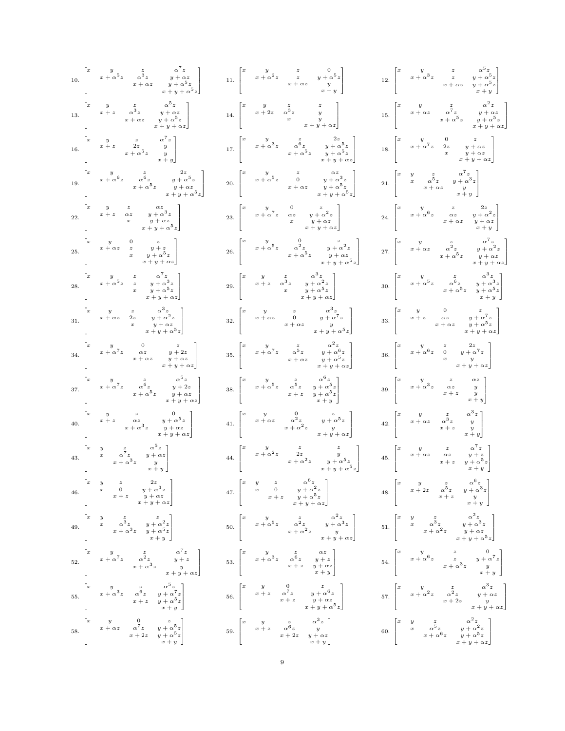|  | $10. \begin{bmatrix} x & y & z & \alpha^7 z \\ & x+\alpha^5 z & \alpha^3 z & y+\alpha z \\ & & x+\alpha z & y+\alpha^5 z \\ & & & x+y+\alpha^5 z \end{bmatrix}$ | $11. \begin{bmatrix} x & y & z & 0 \\ & x + \alpha^2 z & z & y + \alpha^5 z \\ & & x + \alpha z & y \\ & & & y + y \end{bmatrix}$                                             | $12.\begin{bmatrix} x&y&z&\alpha^{\mathfrak{d}}z\\ &x+\alpha^3z&z&y+\alpha^5z\\ &&x+\alpha z&y+\alpha^5z\\ &&x+y \end{bmatrix}$                                           |
|--|-----------------------------------------------------------------------------------------------------------------------------------------------------------------|-------------------------------------------------------------------------------------------------------------------------------------------------------------------------------|---------------------------------------------------------------------------------------------------------------------------------------------------------------------------|
|  | $13. \begin{bmatrix} x & y & z & \alpha^5 z \\ & x+z & \alpha^3 z & y+\alpha z \\ & & x+\alpha z & y+\alpha^5 z \\ & & & x+y+\alpha z \end{bmatrix}$            | $14. \begin{bmatrix} x & y & z & z \\ & x+2z & \alpha^3 z & y \\ & & x & y \\ & & & x+y+\alpha z \end{bmatrix}$                                                               | $15. \begin{bmatrix} x & y & z & \alpha^2 z \\ & x + \alpha z & \alpha^7 z & y + \alpha z \\ & & x + \alpha^5 z & y + \alpha^5 z \\ & & & x + y + \alpha z \end{bmatrix}$ |
|  | 16. $\begin{bmatrix} x & y & z & \alpha' z \\ x+z & 2z & y \\ x+\alpha^5 z & y & y \\ & x & x+y \end{bmatrix}$                                                  | $17. \begin{bmatrix} x & y & z & 2z \\ & x+\alpha^3z & \alpha^6z & y+\alpha^5z \\ & & x+\alpha^5z & y+\alpha^5z \\ & & & x+y+\alpha z \end{bmatrix}$                          | $18. \begin{bmatrix} x & y & 0 & z \\ & x+\alpha^7z & 2z & y+\alpha z \\ & & x & y+\alpha z \\ & & & x+y+\alpha z \end{bmatrix}$                                          |
|  | $19. \begin{bmatrix} x&y&z&2z\\ &x+\alpha^6z&\alpha^6z&y+\alpha^5z\\ &&x+\alpha^5z&y+\alpha z\\ &&x+y+\alpha^5z \end{bmatrix}$                                  | $20. \begin{bmatrix} x & y & z & \alpha z \\ & x+\alpha^5 z & 0 & y+\alpha^3 z \\ & & x+\alpha z & y+\alpha^5 z \\ & & & x+y+\alpha^5 z \end{bmatrix}$                        | $21. \begin{bmatrix} x & y & z & \alpha^7 z \\ & x & \alpha^5 z & y + \alpha^3 z \\ & & x + \alpha z & y \\ & & & x + y \end{bmatrix}$                                    |
|  | $22. \begin{bmatrix} x & y & z & \alpha z \\ & x+z & \alpha z & y+\alpha^3 z \\ & x & y+\alpha z & \\ & & x+y+\alpha^5 z \end{bmatrix}$                         | $23. \begin{bmatrix} x&y&0&z\\ &x+\alpha^7z&\alpha z&y+\alpha^2z\\ &x&y+\alpha z\\ & &x+y+\alpha z \end{bmatrix}$                                                             | $24.\,\,\left[\begin{matrix}x&y&z&2z\\&x+\alpha^6z&\alpha z&y+\alpha^2z\\&x+\alpha z&y+\alpha z\\&&x+y\end{matrix}\right]$                                                |
|  | $25. \begin{bmatrix} x & y & 0 & z \\ & x + \alpha z & z & y + z \\ & & x & y + \alpha^5 z \\ & & & x + y + \alpha z \end{bmatrix}$                             | $26. \begin{bmatrix} x&y&0&z\\ &x+\alpha^5z&\alpha^2z&y+\alpha^2z\\ &&x+\alpha^5z&y+\alpha z\\ &&x+y+\alpha^5z \end{bmatrix}$                                                 | $27.\,\left[\begin{matrix}x&y&z&\alpha'z\\&x+\alpha z&\alpha^2z&y+\alpha^2z\\&x+\alpha^5z&y+\alpha z\\&&x+y+\alpha z\end{matrix}\right]$                                  |
|  | $28. \begin{bmatrix} x&y&z&\alpha^7z\\ &x+\alpha^5z&z&y+\alpha^3z\\ &x&y+\alpha^5z\\ & &x+y+\alpha z \end{bmatrix}$                                             | $29. \begin{bmatrix} x & y & z & \alpha^3 z \\ & x+z & \alpha^3 z & y+\alpha^2 z \\ & & x & y+\alpha^5 z \\ & & & x+y+\alpha z \end{bmatrix}$                                 | $30.\,\,\left[\begin{matrix}x&y&z&\alpha^3z\\&x+\alpha^5z&\alpha^6z&y+\alpha^3z\\&x+\alpha^5z&y+\alpha^5z\\&&x+y\end{matrix}\right]$                                      |
|  | $31. \begin{bmatrix} x & y & z & \alpha^3 z \\ & x+\alpha z & 2z & y+\alpha^2 z \\ & x & y+\alpha z & \\ & & x+y+\alpha^5 z \end{bmatrix}$                      | $32. \begin{bmatrix} x & y & z & \alpha^3 z \\ & x + \alpha z & 0 & y + \alpha^7 z \\ & & x + \alpha z & y \\ & & & x + y + \alpha^5 z \end{bmatrix}$                         | 33. $\begin{bmatrix} x & y & 0 & z \\ x+z & \alpha z & y+\alpha^7 z \\ x+\alpha z & y+\alpha^5 z \\ x+y+\alpha z \end{bmatrix}$                                           |
|  | $34. \begin{bmatrix} x & y & 0 & z \\ & x+\alpha^7z & \alpha z & y+2z \\ & & x+\alpha z & y+\alpha z \\ & & & x+y+\alpha z \end{bmatrix}$                       | 35. $\begin{bmatrix} x & y & z & \alpha^2 z \\ & x + \alpha^7 z & \alpha^5 z & y + \alpha^6 z \\ & & x + \alpha z & y + \alpha^5 z \\ & & & x + \alpha^1 z & z \end{bmatrix}$ | $36. \begin{bmatrix} x & y & z & 2z \\ & x + \alpha^6 z & 0 & y + \alpha^7 z \\ & x & y & \\ & & x + y + \alpha z \end{bmatrix}$                                          |
|  | $37. \begin{bmatrix} x&y&z&\alpha^5z\\ &x+\alpha^7z&\alpha^6z&y+2z\\ &&x+\alpha^5z&y+\alpha z\\ &&x+\alpha^5z&y+\alpha z \end{bmatrix}$                         | $38. \begin{bmatrix} x & y & z & \alpha^6 z \\ & x + \alpha^5 z & \alpha^5 z & y + \alpha^5 z \\ & & x + z & y + \alpha^5 z \\ & & & x + y \end{bmatrix}$                     | $39. \begin{bmatrix} x & y & z & \alpha z \\ & x+\alpha^3 z & \alpha z & y \\ & & x+z & y \\ & & & x+y \end{bmatrix}$                                                     |
|  | $40. \begin{bmatrix} x & y & z & 0 \\ & x+z & \alpha z & y+\alpha^5 z \\ & & x+\alpha^3 z & y+\alpha z \\ & & & x+y+\alpha z \end{bmatrix}$                     | $41. \begin{bmatrix} x & y & 0 & z \\ & x+\alpha z & \alpha^2 z & y+\alpha^5 z \\ & & x+\alpha^2 z & y \\ & & & x+y+\alpha z \end{bmatrix}$                                   | $42. \begin{bmatrix} x & y & z & \alpha^3 z \\ & x + \alpha z & \alpha^3 z & y \\ & & x + z & y \\ & & & x + y \end{bmatrix}$                                             |
|  | $43. \begin{bmatrix} x & y & z & \alpha^5 z \\ & x & \alpha^7 z & y+\alpha z \\ & & x+\alpha^3 z & y \\ & & & x+y \end{bmatrix}$                                | $44. \begin{bmatrix} x&y&z&z&z\\ &x+\alpha^2z&2z&y&\\ &&x+\alpha^2z&y+\alpha^5z\\ &&&x+y+\alpha^5z \end{bmatrix}$                                                             | $45. \begin{bmatrix} x & y & z & \alpha^7 z \\ & x+\alpha z & \alpha z & y+z \\ & & x+z & y+\alpha^5 z \\ & & & x+y \end{bmatrix}$                                        |
|  | $46. \begin{bmatrix} x & y & z & 2z \\ & x & 0 & y+\alpha^3z \\ & & x+z & y+\alpha z \\ & & & x+y+\alpha z \end{bmatrix}$                                       | $47. \begin{bmatrix} x & y & z & \alpha^6 z \\ & x & 0 & y+\alpha^2 z \\ & & x+z & y+\alpha^5 z \\ & & & x+y+\alpha z \end{bmatrix}$                                          | $48. \begin{bmatrix} x & y & z & \alpha^6 z \\ & x+2z & \alpha^5 z & y+\alpha^3 z \\ & & x+z & y \\ & & & x+y \end{bmatrix}$                                              |
|  | 49. $\begin{bmatrix} x & y & z & z \\ x & \alpha^3 z & y + \alpha^2 z \\ x + \alpha^3 z & y + \alpha^5 z \end{bmatrix}$                                         | $50.\,\left[\begin{matrix}x&y&z&\alpha^2z\\&x+\alpha^5z&\alpha^2z&y+\alpha^3z\\&x+\alpha^2z&y&y+\alpha^3z\\&&x+y+\alpha z\end{matrix}\right]$                                 | $51. \begin{bmatrix} x & y & z & \alpha^2 z \\ & x & \alpha^3 z & y+\alpha^3 z \\ & & x+\alpha^2 z & y+\alpha z \\ & & & x+y+\alpha^5 z \end{bmatrix}$                    |
|  | $52. \begin{bmatrix} x&y&z&\alpha^7z\\ &x+\alpha^7z&\alpha^2z&y+z\\ &&x+\alpha^3z&y\\ &&x+y+\alpha z \end{bmatrix}$                                             | $53.\,\left[\begin{matrix}x&y&z&\alpha z\\&x+\alpha^3z&\alpha^6z&y+z\\&x+z&y+\alpha z\\&&x+y\end{matrix}\right]$                                                              | $54.\,\, \left[\begin{matrix} x&y&z&0\\ &x+\alpha^6z&z&y+\alpha^7z\\ &&x+\alpha^3z&y\\ &&x+y \end{matrix}\right]$                                                         |
|  | 55. $\begin{bmatrix} x & y & z & \alpha^5 z \\ x + \alpha^3 z & \alpha^6 z & y + \alpha^7 z \\ x + z & y + \alpha^5 z & z + \alpha^7 \end{bmatrix}$             | $56. \begin{bmatrix} x&y&0&z\\ &x+z&\alpha^7z&y+\alpha^6z\\ &x+z&y+\alpha z\\ & &x+y+\alpha^5z\\ \end{bmatrix}$                                                               | $57. \begin{bmatrix} x&y&z&\alpha^3z\\ &x+\alpha^2z&\alpha^2z&y+\alpha z\\ &&x+2z&y\\ &&x+y+\alpha z \end{bmatrix}$                                                       |
|  | 58. $\begin{bmatrix} x & y & 0 & z \\ x + \alpha z & \alpha^7 z & y + \alpha^5 z \\ x + 2z & y + \alpha^5 z \\ x + z & z & + x \end{bmatrix}$                   | 59. $\begin{bmatrix} x & y & z & \alpha^3 z \\ & x+z & \alpha^6 z & y \\ & & x+2z & y+\alpha z \\ & & & x+y \end{bmatrix}$                                                    | $60.\,\,\left[\begin{matrix}x & y & z & \alpha^2 z \\ & x & \alpha^5 z & y+\alpha^2 z \\ & & x+\alpha^6 z & y+\alpha^5 z \\ & & & x+y+\alpha z\end{matrix}\right]$        |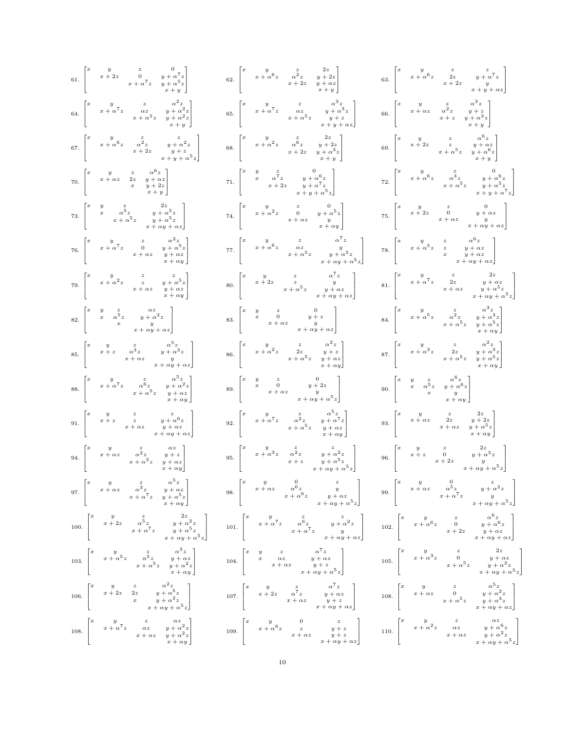| 61. $\begin{bmatrix} x & y & z & 0 \\ & x+2z & 0 & y+\alpha^7z \\ & & x+\alpha^7z & y+\alpha^5z \\ & & & x+y \end{bmatrix}$                                                                          | 62. $\begin{bmatrix} x & y & z & 2z \\ & x + \alpha^6 z & \alpha^2 z & y + 2z \\ & & x + 2z & y + \alpha z \\ & & & x + y \end{bmatrix}$                                                                                                                       | 63. $\begin{bmatrix} x & y & z & z & z \\ x + \alpha^6 z & 2z & y + \alpha^7 z & y \\ x + 2z & y & z \\ x + y + \alpha z & x \end{bmatrix}$                                                                             |
|------------------------------------------------------------------------------------------------------------------------------------------------------------------------------------------------------|----------------------------------------------------------------------------------------------------------------------------------------------------------------------------------------------------------------------------------------------------------------|-------------------------------------------------------------------------------------------------------------------------------------------------------------------------------------------------------------------------|
| $64. \begin{bmatrix} x & y & z & \alpha^2 z \\ & x+\alpha^7 z & \alpha z & y+\alpha^2 z \\ & & x+\alpha^5 z & y+\alpha^2 z \\ & & & x+y \end{bmatrix}$                                               | $65. \begin{bmatrix} x & y & z & \alpha^3 z \\ & x+\alpha^7 z & \alpha z & y+\alpha^3 z \\ & & x+\alpha^5 z & y+z \\ & & & x+y+\alpha z \end{bmatrix}$                                                                                                         | 66. $\begin{bmatrix} x & y & z & \alpha^3 z \\ & x + \alpha z & \alpha^2 z & y + z \\ & & x + z & y + \alpha^3 z \\ & & & x + y \end{bmatrix}$                                                                          |
| 67. $\begin{bmatrix} x & y & z & z \\ x + \alpha^6 z & \alpha^2 z & y + \alpha^2 z \\ x + 2z & y + z & z + y + \alpha^5 z \end{bmatrix}$                                                             | $68. \begin{bmatrix} x & y & z & 2z \\ & x + \alpha^2 z & \alpha^6 z & y + 2z \\ & & x + 2z & y + \alpha^3 z \\ & & & x + y \end{bmatrix}$                                                                                                                     | $69. \begin{bmatrix} x&y&z&\alpha^0z\\ &x+2z&z&y+\alpha z\\ &&x+\alpha^5z&y+\alpha^6z\\ &&x+y \end{bmatrix}$                                                                                                            |
| $70. \begin{bmatrix} x & y & z & \alpha^6 z \\ & x + \alpha z & 2z & y + \alpha z \\ & & x & y + 2z \\ & & & x + y \end{bmatrix}$                                                                    | $\text{71.} \begin{bmatrix} x & y & z & 0 \\ & x & \alpha^7 z & y + \alpha^6 z \\ & & x + 2 z & y + \alpha^7 z \\ & & & x + y + \alpha^5 z \end{bmatrix}$                                                                                                      | $72. \begin{bmatrix} x&y&z&0\\ &x+\alpha^6z&\alpha^3z&y+\alpha^6z\\ &x+\alpha^5z&y+\alpha^5z\\ &&x+y+\alpha^7z \end{bmatrix}$                                                                                           |
| $73. \begin{bmatrix} x & y & z & 2z \\ & x & \alpha^5 z & y+\alpha^5 z \\ & & x+\alpha^5 z & y+\alpha^5 z \\ & & & x+\alpha y+\alpha z \end{bmatrix}$                                                | $74. \begin{bmatrix} x & y & z & 0 \\ & x+\alpha^2 z & 0 & y+\alpha^5 z \\ & & x+\alpha z & y \\ & & & x+\alpha y \end{bmatrix}$                                                                                                                               | $\mbox{75.} \begin{bmatrix} x & y & z & 0 \\ & x+2z & 0 & y+\alpha z \\ & & x+\alpha z & y \\ & & & x+\alpha y+\alpha z \end{bmatrix}$                                                                                  |
| $76. \begin{bmatrix} x & y & z & \alpha^2 z \\ & x+\alpha^7 z & 0 & y+\alpha^5 z \\ & x+\alpha z & y+\alpha z \\ & & x+\alpha y \end{bmatrix}$                                                       | $\mbox{77.} \begin{bmatrix} x & y & z & \alpha \cdot z \\ & x + \alpha^6 z & \alpha z & y \\ & & x + \alpha^5 z & y + \alpha^5 z \\ & & & x + \alpha y + \alpha^5 z \end{bmatrix}$                                                                             | $\mbox{78.} \begin{bmatrix} x & y & z & \alpha^0 z \\ & x+\alpha^5 z & z & y+\alpha z \\ & x & y+\alpha z & \\ & & x+\alpha y+\alpha z \end{bmatrix}$                                                                   |
| 79. $\begin{bmatrix} x & y & z & z \\ & x+\alpha^2 z & z & y+\alpha^5 z \\ & & x+\alpha z & y+\alpha z \\ & & & x+\alpha y \end{bmatrix}$                                                            | $80. \begin{bmatrix} x & y & z & \alpha'z \\ & x+2z & z & y \\ & & x+\alpha^5z & y+\alpha z \\ & & & x+\alpha y+\alpha z \end{bmatrix}$                                                                                                                        | $81. \begin{bmatrix} x&y&z&2z\\ &x+\alpha^7z&2z&y+\alpha z\\ &&x+\alpha z&y+\alpha^5z\\ &&x+\alpha y+\alpha^5z \end{bmatrix}$                                                                                           |
| $82. \begin{bmatrix} x & y & z & \alpha z \\ & x & \alpha^5 z & y+\alpha^2 z \\ & & x & y \\ & & & x+\alpha y+\alpha z \end{bmatrix}$                                                                | 83. $\begin{bmatrix} x & y & z & 0 \\ x & 0 & y+z \\ x+\alpha z & y & x \\ x+\alpha y+\alpha z & x+ \end{bmatrix}$                                                                                                                                             | $84.\,\,\left[\begin{matrix}x&y&z&\alpha^3z\\&x+\alpha^5z&\alpha^2z&y+\alpha^3z\\&x+\alpha^5z&y+\alpha^5z\\&&x+\alpha y\end{matrix}\right]$                                                                             |
| $85. \begin{bmatrix} x & y & z & \alpha^5 z \\ & x+z & \alpha^3 z & y+\alpha^3 z \\ & & x+\alpha z & y \\ & & & x+\alpha y+\alpha z \end{bmatrix}$                                                   | 86. $\begin{bmatrix} x & y & z & \alpha^2 z \\ x + \alpha^2 z & 2z & y + z \\ x + \alpha^5 z & y + \alpha z \\ x + \alpha^5 z & y + \alpha y \end{bmatrix}$                                                                                                    | 87. $\begin{bmatrix} x & y & z & \alpha^2 z \\ x + \alpha^3 z & 2z & y + \alpha^3 z \\ x + \alpha^5 z & y + \alpha^5 z \\ x + \alpha^6 z & y + \alpha^6 z \end{bmatrix}$                                                |
| $88. \begin{bmatrix} x & y & z & \alpha^\vee z \\ & x+\alpha^\mathsf{T} z & \alpha^\mathsf{6} z & y+\alpha^\mathsf{T} z \\ & & x+\alpha^\mathsf{T} z & y+\alpha z \\ & & & x+\alpha y \end{bmatrix}$ | $89. \begin{bmatrix} x & y & z & 0 \\ & x & 0 & y+2z \\ & & x+\alpha z & y \\ & & & x+\alpha y+\alpha^5z \end{bmatrix}$                                                                                                                                        | $90. \begin{bmatrix} x & y & z & \alpha^6 z \\ & x & \alpha^5 z & y + \alpha^6 z \\ & & x & y \\ & & & x + \alpha y \end{bmatrix}$                                                                                      |
| 91. $\begin{bmatrix} x & y & z & z \\ & x+z & z & y+\alpha^6 z \\ & & x+\alpha z & y+\alpha z \\ & & & x+\alpha y+\alpha z \end{bmatrix}$                                                            | $92.\,\left[\begin{matrix}x&y&z&\alpha^{\mathfrak{d}}z\\&x+\alpha^7z&\alpha^2z&y+\alpha^7z\\&x+\alpha^5z&y+\alpha z\\&&x+\alpha y\end{matrix}\right]$                                                                                                          | $93. \begin{bmatrix} x&y&z&2z\\ &x+\alpha z&2z&y+2z\\ &&x+\alpha z&y+\alpha^5z\\ &&x+\alpha y \end{bmatrix}$                                                                                                            |
| $94. \begin{bmatrix} x&y&z&\alpha z\\ &x+\alpha z&\alpha^2 z&y+z\\ &&x+\alpha^3 z&y+\alpha z\\ &&x+\alpha y \end{bmatrix}$                                                                           | $95. \begin{bmatrix} x&y&z&z&z\\ &x+\alpha^3z&\alpha^2z&y+\alpha^2z\\ &x+z&y+\alpha^5z\\ &&x+\alpha y+\alpha^5z \end{bmatrix}$                                                                                                                                 | $96. \begin{bmatrix} x & y & z & 2z \\ & x+z & 0 & y+\alpha^5 z \\ & & x+2z & y \\ & & & x+\alpha y+\alpha^5 z \end{bmatrix}$                                                                                           |
| 97. $\begin{bmatrix} x & y & z & \alpha^5 z \\ & x+\alpha z & \alpha^3 z & y+\alpha z \\ & & x+\alpha^7 z & y+\alpha^5 z \\ & & & x+\alpha y \end{bmatrix}$                                          | $98. \begin{bmatrix} x&y&0&z\\ &x+\alpha z&\alpha^6z&y\\ &&x+\alpha^6z&y+\alpha z\\ &&x+\alpha y+\alpha^5z \end{bmatrix} \qquad 99. \begin{bmatrix} x&y&0&z\\ &x+\alpha z&\alpha^5z&y+\alpha^2z\\ &&x+\alpha^7z&y\\ &&x+\alpha y+\alpha^5z \end{bmatrix}$      |                                                                                                                                                                                                                         |
| $100.\,\, \left[ \begin{matrix} x & y & z & 2z \\ & x+2z & \alpha^5 z & y+\alpha^2 z \\ & & x+\alpha^7 z & y+\alpha^5 z \\ & & & x+\alpha y+\alpha^5 z \end{matrix} \right]$                         | $101. \begin{bmatrix} x & y & z & z \\ & x+\alpha^7z & \alpha^6z & y+\alpha^2z \\ & & x+\alpha^7z & y \\ & & & x+\alpha y+\alpha z \end{bmatrix}$                                                                                                              | 102. $\begin{bmatrix} x & y & z & \alpha^{6} z \\ x + \alpha^{6} z & 0 & y + \alpha^{6} z \\ x + 2z & y + \alpha z & y + \alpha z \\ y + \alpha z & x + \alpha y + \alpha z \end{bmatrix}$<br>$x + \alpha y + \alpha z$ |
| $103. \begin{bmatrix} x&y&z&\alpha^3z\\ &x+\alpha^5z&\alpha^5z&y+\alpha z\\ &x+\alpha^5z&y+\alpha^2z\\ &x+\alpha^5z&y+\alpha u \end{bmatrix}$                                                        | $104.\,\left[ \begin{matrix} x & y & z & \alpha^7 z \\ & x & \alpha z & y+\alpha z \\ & & x+\alpha z & y+z \\ & & & x+\alpha y+\alpha^5 z \end{matrix} \right]$                                                                                                | $105. \begin{bmatrix} x & y & z & 2z & z \\ & x+\alpha^3 z & 0 & y+\alpha^2 z \\ & & x+\alpha^5 z & y+\alpha^2 z \\ & & & x+\alpha y+\alpha^5 z. \end{bmatrix}$                                                         |
| $106. \begin{bmatrix} x & y & z & \alpha^2 z \\ & x+2z & 2z & y+\alpha^5 z \\ & x & y+\alpha^2 z & \\ & x & -y+\alpha^2 z \end{bmatrix}$                                                             | 107. $\begin{bmatrix} x & y & z & \alpha^7 z \\ x+2z & \alpha^7 z & y+\alpha z \\ x+\alpha z & x+\alpha y+z \\ z & x+\alpha y+\alpha z \end{bmatrix}$                                                                                                          | 108. $\begin{bmatrix} x & y & z & \alpha^5 z \\ x + \alpha z & 0 & y + \alpha^2 z \\ x + \alpha^5 z & y + \alpha^3 z \\ x + \alpha^5 z & y + \alpha y + \alpha z \end{bmatrix}$                                         |
| 108. $\begin{bmatrix} x & y & z & \alpha z \\ x + \alpha^7 z & \alpha z & y + \alpha^2 z \\ x + \alpha z & y + \alpha^2 z \end{bmatrix}$                                                             | $109. \begin{bmatrix} x&y&0&z\\ &x+\alpha^6z&z&y+z\\ &&x+\alpha z&y+z\\ &&x+\alpha y+\alpha z \end{bmatrix} \qquad 110. \begin{bmatrix} x&y&z&\alpha z\\ &x+\alpha^2z&\alpha z&y+\alpha^6z\\ &&x+\alpha z&y+\alpha^2 z\\ &&x+\alpha y+\alpha^5z \end{bmatrix}$ |                                                                                                                                                                                                                         |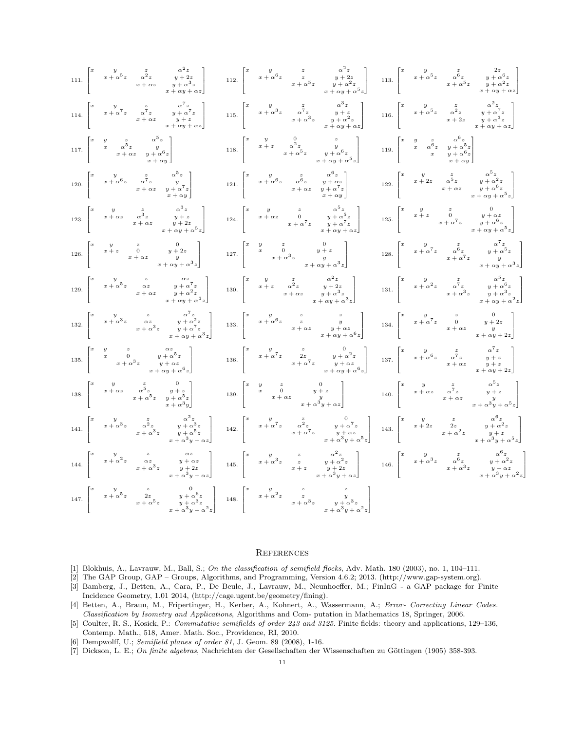|  | $111. \begin{bmatrix} x & y & z & \alpha^2 z \\ & x+\alpha^5 z & \alpha^2 z & y+2z \\ & & x+\alpha z & y+\alpha^3 z \\ & & & x+\alpha y+\alpha z \end{bmatrix}$           |                                                                                                                                                                                                                                                                                                                                                                                                                                                                                                       |  |                                                                                                                                                                           | $112. \begin{bmatrix} x & y & z & \alpha^2 z \\ & x + \alpha^6 z & z & y + 2z \\ & & x + \alpha^5 z & y + \alpha^2 z \\ & & & x + \alpha^4 z & z \\ & & & & x + \alpha^5 z \end{bmatrix} \quad 113. \begin{bmatrix} x & y & z & 2z \\ & x + \alpha^5 z & \alpha^6 z & y + \alpha^6 z \\ & & x + \alpha^5 z & y + \alpha^2 z \\ & & & & x + \alpha y + \alpha z \end{bmatrix}$      |  |                                                                                                                                                  |                                                                                                                                                                    |
|--|---------------------------------------------------------------------------------------------------------------------------------------------------------------------------|-------------------------------------------------------------------------------------------------------------------------------------------------------------------------------------------------------------------------------------------------------------------------------------------------------------------------------------------------------------------------------------------------------------------------------------------------------------------------------------------------------|--|---------------------------------------------------------------------------------------------------------------------------------------------------------------------------|------------------------------------------------------------------------------------------------------------------------------------------------------------------------------------------------------------------------------------------------------------------------------------------------------------------------------------------------------------------------------------|--|--------------------------------------------------------------------------------------------------------------------------------------------------|--------------------------------------------------------------------------------------------------------------------------------------------------------------------|
|  | $114. \begin{bmatrix} x & y & z & \alpha'z \\ & x+\alpha'z & \alpha'z & y+\alpha'z \\ & & x+\alpha z & y+z \\ & & & x+\alpha y+\alpha z \end{bmatrix}$                    |                                                                                                                                                                                                                                                                                                                                                                                                                                                                                                       |  |                                                                                                                                                                           | 115. $\begin{bmatrix} x & y & z & \alpha^2 z & \alpha^3 z \\ x + \alpha^3 z & \alpha^7 z & y + z & z \\ x + \alpha^3 z & y + \alpha^2 z & 116. \end{bmatrix}$ $\begin{bmatrix} x & y & z & \alpha^2 z & \alpha^2 z \\ x + \alpha^5 z & \alpha^2 z & y + \alpha^7 z & z \\ x + 2z & y + \alpha^3 z & z + \alpha y + \alpha z & z \end{bmatrix}$                                     |  |                                                                                                                                                  |                                                                                                                                                                    |
|  | $117. \begin{bmatrix} x & y & z & \alpha^{\vee} z \\ & x & \alpha^{\mathbf{5}} z & y \\ & & x + \alpha z & y + \alpha^{\mathbf{6}} z \\ & & & x + \alpha y \end{bmatrix}$ |                                                                                                                                                                                                                                                                                                                                                                                                                                                                                                       |  | $118. \begin{bmatrix} x & y & 0 & z \\ & x+z & \alpha^2 z & y \\ & & x+\alpha^5 z & y+\alpha^6 z \\ & & & x+\alpha y+\alpha^5 z \end{bmatrix}$                            |                                                                                                                                                                                                                                                                                                                                                                                    |  | 119. $\begin{bmatrix} x & y & z & \alpha^6 z \\ & x & \alpha^6 z & y + \alpha^5 z \\ & & x & y + \alpha^6 z \\ & & & x + \alpha y \end{bmatrix}$ |                                                                                                                                                                    |
|  | $120. \begin{bmatrix} x & y & z & \alpha^5 z \\ & x + \alpha^6 z & \alpha^7 z & y \\ & & x + \alpha z & y + \alpha^7 z \\ & & & x + \alpha y \end{bmatrix}$               |                                                                                                                                                                                                                                                                                                                                                                                                                                                                                                       |  | 121. $\begin{bmatrix} x & y & z & \alpha^0 z \\ x + \alpha^6 z & \alpha^6 z & y + \alpha z \\ x + \alpha z & y + \alpha^7 z \\ x + \alpha z & x + \alpha y \end{bmatrix}$ |                                                                                                                                                                                                                                                                                                                                                                                    |  |                                                                                                                                                  | $122. \begin{bmatrix} x & y & z & \alpha^5 z \\ x+2z & \alpha^5 z & y+\alpha^2 z \\ x+\alpha z & y+\alpha^6 z \\ x+\alpha z & x+\alpha y+\alpha^5 z \end{bmatrix}$ |
|  | $123. \begin{bmatrix} x & y & z & \alpha^3 z \\ x + \alpha z & \alpha^3 z & y + z \\ x + \alpha z & y + 2z & z + \alpha y + \alpha^5 z \end{bmatrix}$                     |                                                                                                                                                                                                                                                                                                                                                                                                                                                                                                       |  |                                                                                                                                                                           | $124. \begin{bmatrix} x & y & z & \alpha^0 z \\ x + \alpha z & 0 & y + \alpha^5 z \\ x + \alpha^7 z & y + \alpha^7 z \\ x + \alpha^7 z & x + \alpha y + \alpha z \end{bmatrix} \qquad 125. \begin{bmatrix} x & y & z & 0 \\ x + z & 0 & y + \alpha z \\ x + z & 0 & y + \alpha^6 z \\ x + \alpha^7 z & x + \alpha^7 z & y + \alpha^6 z \\ x + \alpha y + \alpha^5 z \end{bmatrix}$ |  |                                                                                                                                                  |                                                                                                                                                                    |
|  |                                                                                                                                                                           | 126. $\begin{bmatrix} x & y & z & 0 \\ x+z & 0 & y+2z \\ x+\alpha z & y & x + \alpha y + \alpha^3 z \end{bmatrix}$                                                                                                                                                                                                                                                                                                                                                                                    |  |                                                                                                                                                                           | $127. \begin{bmatrix} x & y & z & 0 & 0 \\ & x & 0 & y+z & \\ & & x+\alpha^3 z & y & \\ & & & x+\alpha y+\alpha^3 z \end{bmatrix} \hspace{1cm} 128. \begin{bmatrix} x & y & z & \alpha^{\prime} z & \\ & x+\alpha^7 z & \alpha^6 z & y+\alpha^5 z \\ & & x+\alpha^7 z & y+\alpha^3 z \end{bmatrix}$                                                                                |  |                                                                                                                                                  |                                                                                                                                                                    |
|  |                                                                                                                                                                           | $129. \begin{bmatrix} x&y&z&\alpha z\\ &x+\alpha^5z&\alpha z&y+\alpha^7z\\ &&x+\alpha z&y+\alpha^2z\\ &&x+\alpha y+\alpha^3z \end{bmatrix} \qquad 130. \begin{bmatrix} x&y&z&\alpha^2z\\ &x+z&\alpha^2z&y+2z\\ &&x+\alpha z&y+\alpha^3z\\ &&x+\alpha y+\alpha^3z \end{bmatrix} \qquad 131. \begin{bmatrix} x&y&z&\alpha^2z\\ &x+\alpha^2z&\alpha^7z&y+\alpha^6z\\ &&x+\alpha^3z&y+\alpha^3z\\ &&x+\alpha y+\alpha^2z \end{bmatrix}$                                                                   |  |                                                                                                                                                                           |                                                                                                                                                                                                                                                                                                                                                                                    |  |                                                                                                                                                  |                                                                                                                                                                    |
|  |                                                                                                                                                                           | $132. \begin{bmatrix} x & y & z & \alpha^7 z \\ & x + \alpha^3 z & \alpha z & y + \alpha^2 z \\ & & x + \alpha^3 z & y + \alpha^7 z \\ & & & x + \alpha y + \alpha^3 z \end{bmatrix} \quad 133. \begin{bmatrix} x & y & z & z \\ & x + \alpha^6 z & z & y \\ & & x + \alpha z & y + \alpha z \\ & & & x + \alpha z + \alpha y + \alpha^6 z \end{bmatrix} \quad 134. \begin{bmatrix} x & y & z & 0 \\ & x + \alpha^7 z & 0 & y + 2 z \\ & & x + \alpha z & y \\ & & & x + \alpha y + 2 z \end{bmatrix$ |  |                                                                                                                                                                           |                                                                                                                                                                                                                                                                                                                                                                                    |  |                                                                                                                                                  |                                                                                                                                                                    |
|  |                                                                                                                                                                           | $135. \begin{bmatrix} x & y & z & \alpha z \\ & x & 0 & y+\alpha^5 z \\ & & x+\alpha^3 z & y+\alpha z \\ & & & x+\alpha y+\alpha^6 z \end{bmatrix} \qquad \qquad 136. \begin{bmatrix} x & y & z & 0 \\ & x+\alpha^7 z & 2z & y+\alpha^2 z \\ & & & x+\alpha^7 z & y+\alpha z \\ & & & & x+\alpha y+\alpha^6 z \end{bmatrix} \qquad \qquad 137. \begin{bmatrix} x & y & z & \alpha^{'z} \\ & x+\alpha^6 z & \alpha^{'z} & y+z \\ & & x+\alpha z & y+z \\ & & & x+\alpha y+2z \end{bmatrix}$            |  |                                                                                                                                                                           |                                                                                                                                                                                                                                                                                                                                                                                    |  |                                                                                                                                                  |                                                                                                                                                                    |
|  |                                                                                                                                                                           | $138. \begin{bmatrix} x&y&z&0\\ &x+\alpha z&\alpha^5z&y+z\\ &&x+\alpha^5z&y+\alpha^5z\\ &&&x+\alpha^3y \end{bmatrix} \hspace{1.5cm} 139. \begin{bmatrix} x&y&z&0\\ &x&0&y+z\\ &&&x+\alpha z&y\\ &&&x+\alpha^2y+\alpha z \end{bmatrix} \hspace{1.5cm} 140. \begin{bmatrix} x&y&z&\alpha^3z\\ &x+\alpha z&\alpha^7z&y+z\\ &&&x+\alpha z&y\\ &&&x+\alpha^3y+\alpha^5z \end{bmatrix}$                                                                                                                     |  |                                                                                                                                                                           |                                                                                                                                                                                                                                                                                                                                                                                    |  |                                                                                                                                                  |                                                                                                                                                                    |
|  |                                                                                                                                                                           | $141. \begin{bmatrix} x & y & z & \alpha^2 z \\ & x + \alpha^3 z & \alpha^2 z & y + \alpha^3 z \\ & & x + \alpha^3 z & y + \alpha^5 z \\ & & & x + \alpha^3 y + \alpha z \end{bmatrix} \quad \ 142. \begin{bmatrix} x & y & z & 0 \\ & x + \alpha^7 z & \alpha^2 z & y + \alpha^7 z \\ & & x + \alpha^7 z & y + \alpha z & 143. \\ & & & x + \alpha^3 y + \alpha^5 z \end{bmatrix} \quad \ 143. \begin{bmatrix} x & y & z & \alpha^0 z \\ & x + 2z & 2z & y + \alpha^2 z \\ & &$                      |  |                                                                                                                                                                           |                                                                                                                                                                                                                                                                                                                                                                                    |  |                                                                                                                                                  |                                                                                                                                                                    |
|  |                                                                                                                                                                           | $144. \begin{bmatrix} x & y & z & \alpha z \\ & x+\alpha^2 z & \alpha z & y+\alpha z \\ & & x+\alpha^3 z & y+2z \\ & & & & x+\alpha^3 y + \alpha z \end{bmatrix} \quad \ 145. \begin{bmatrix} x & y & z & \alpha^2 z \\ & x+\alpha^3 z & z & y+\alpha^2 z \\ & & & & x+z & y+2z \\ & & & & x+\alpha^3 y + \alpha z \end{bmatrix} \quad \quad 146. \begin{bmatrix} x & y & z & \alpha^6 z \\ & x+\alpha^3 z & \alpha^6 z & y+\alpha^2 z \\ & & & & x+\alpha^3 z & y+\alpha z \\ & & & & & x+\alpha^3$  |  |                                                                                                                                                                           |                                                                                                                                                                                                                                                                                                                                                                                    |  |                                                                                                                                                  |                                                                                                                                                                    |
|  |                                                                                                                                                                           | $147. \begin{bmatrix} x & y & z & 0 \\ & x + \alpha^5 z & 2z & y + \alpha^6 z \\ & & x + \alpha^5 z & y + \alpha^3 z \\ & & & x + \alpha^3 u + \alpha^2 z \end{bmatrix} \quad 148. \begin{bmatrix} x & y & z & z & z \\ & x + \alpha^2 z & z & y & z \\ & & x + \alpha^3 z & y + \alpha^3 z \\ & & & & x + \alpha^3 u + \alpha^2 z \end{bmatrix}$                                                                                                                                                     |  |                                                                                                                                                                           |                                                                                                                                                                                                                                                                                                                                                                                    |  |                                                                                                                                                  |                                                                                                                                                                    |

#### **REFERENCES**

- <span id="page-10-3"></span><span id="page-10-1"></span>[1] Blokhuis, A., Lavrauw, M., Ball, S.; On the classification of semifield flocks, Adv. Math. 180 (2003), no. 1, 104-111.
- <span id="page-10-4"></span>[2] The GAP Group, GAP – Groups, Algorithms, and Programming, Version 4.6.2; 2013. (http://www.gap-system.org).
- [3] Bamberg, J., Betten, A., Cara, P., De Beule, J., Lavrauw, M., Neunhoeffer, M.; FinInG a GAP package for Finite Incidence Geometry, 1.01 2014, (http://cage.ugent.be/geometry/fining).
- <span id="page-10-5"></span>[4] Betten, A., Braun, M., Fripertinger, H., Kerber, A., Kohnert, A., Wassermann, A.; Error- Correcting Linear Codes. Classification by Isometry and Applications, Algorithms and Com- putation in Mathematics 18, Springer, 2006.
- <span id="page-10-2"></span>[5] Coulter, R. S., Kosick, P.: Commutative semifields of order 243 and 3125. Finite fields: theory and applications, 129–136, Contemp. Math., 518, Amer. Math. Soc., Providence, RI, 2010.
- <span id="page-10-0"></span>[6] Dempwolff, U.; Semifield planes of order 81, J. Geom. 89 (2008), 1-16.
- [7] Dickson, L. E.; On finite algebras, Nachrichten der Gesellschaften der Wissenschaften zu Göttingen (1905) 358-393.